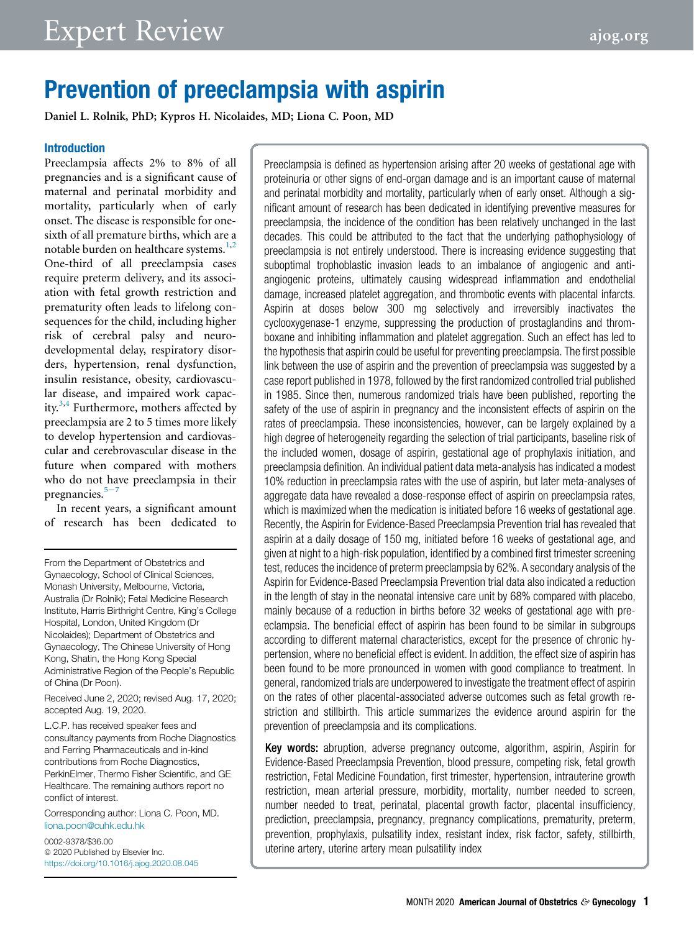# Prevention of preeclampsia with aspirin

Daniel L. Rolnik, PhD; Kypros H. Nicolaides, MD; Liona C. Poon, MD

### Introduction

Preeclampsia affects 2% to 8% of all pregnancies and is a significant cause of maternal and perinatal morbidity and mortality, particularly when of early onset. The disease is responsible for onesixth of all premature births, which are a notable burden on healthcare systems. $1,2$  $1,2$ One-third of all preeclampsia cases require preterm delivery, and its association with fetal growth restriction and prematurity often leads to lifelong consequences for the child, including higher risk of cerebral palsy and neurodevelopmental delay, respiratory disorders, hypertension, renal dysfunction, insulin resistance, obesity, cardiovascular disease, and impaired work capacity.[3](#page-9-2)[,4](#page-9-3) Furthermore, mothers affected by preeclampsia are 2 to 5 times more likely to develop hypertension and cardiovascular and cerebrovascular disease in the future when compared with mothers who do not have preeclampsia in their pr[e](#page-9-4)gnancies. $5-7$ 

In recent years, a significant amount of research has been dedicated to

From the Department of Obstetrics and Gynaecology, School of Clinical Sciences, Monash University, Melbourne, Victoria, Australia (Dr Rolnik); Fetal Medicine Research Institute, Harris Birthright Centre, King's College Hospital, London, United Kingdom (Dr Nicolaides); Department of Obstetrics and Gynaecology, The Chinese University of Hong Kong, Shatin, the Hong Kong Special Administrative Region of the People's Republic of China (Dr Poon).

Received June 2, 2020; revised Aug. 17, 2020; accepted Aug. 19, 2020.

L.C.P. has received speaker fees and consultancy payments from Roche Diagnostics and Ferring Pharmaceuticals and in-kind contributions from Roche Diagnostics, PerkinElmer, Thermo Fisher Scientific, and GE Healthcare. The remaining authors report no conflict of interest.

Corresponding author: Liona C. Poon, MD. [liona.poon@cuhk.edu.hk](mailto:liona.poon@cuhk.edu.hk)

0002-9378/\$36.00 ª 2020 Published by Elsevier Inc. <https://doi.org/10.1016/j.ajog.2020.08.045> Preeclampsia is defined as hypertension arising after 20 weeks of gestational age with proteinuria or other signs of end-organ damage and is an important cause of maternal and perinatal morbidity and mortality, particularly when of early onset. Although a significant amount of research has been dedicated in identifying preventive measures for preeclampsia, the incidence of the condition has been relatively unchanged in the last decades. This could be attributed to the fact that the underlying pathophysiology of preeclampsia is not entirely understood. There is increasing evidence suggesting that suboptimal trophoblastic invasion leads to an imbalance of angiogenic and antiangiogenic proteins, ultimately causing widespread inflammation and endothelial damage, increased platelet aggregation, and thrombotic events with placental infarcts. Aspirin at doses below 300 mg selectively and irreversibly inactivates the cyclooxygenase-1 enzyme, suppressing the production of prostaglandins and thromboxane and inhibiting inflammation and platelet aggregation. Such an effect has led to the hypothesis that aspirin could be useful for preventing preeclampsia. The first possible link between the use of aspirin and the prevention of preeclampsia was suggested by a case report published in 1978, followed by the first randomized controlled trial published in 1985. Since then, numerous randomized trials have been published, reporting the safety of the use of aspirin in pregnancy and the inconsistent effects of aspirin on the rates of preeclampsia. These inconsistencies, however, can be largely explained by a high degree of heterogeneity regarding the selection of trial participants, baseline risk of the included women, dosage of aspirin, gestational age of prophylaxis initiation, and preeclampsia definition. An individual patient data meta-analysis has indicated a modest 10% reduction in preeclampsia rates with the use of aspirin, but later meta-analyses of aggregate data have revealed a dose-response effect of aspirin on preeclampsia rates, which is maximized when the medication is initiated before 16 weeks of gestational age. Recently, the Aspirin for Evidence-Based Preeclampsia Prevention trial has revealed that aspirin at a daily dosage of 150 mg, initiated before 16 weeks of gestational age, and given at night to a high-risk population, identified by a combined first trimester screening test, reduces the incidence of preterm preeclampsia by 62%. A secondary analysis of the Aspirin for Evidence-Based Preeclampsia Prevention trial data also indicated a reduction in the length of stay in the neonatal intensive care unit by 68% compared with placebo, mainly because of a reduction in births before 32 weeks of gestational age with preeclampsia. The beneficial effect of aspirin has been found to be similar in subgroups according to different maternal characteristics, except for the presence of chronic hypertension, where no beneficial effect is evident. In addition, the effect size of aspirin has been found to be more pronounced in women with good compliance to treatment. In general, randomized trials are underpowered to investigate the treatment effect of aspirin on the rates of other placental-associated adverse outcomes such as fetal growth restriction and stillbirth. This article summarizes the evidence around aspirin for the prevention of preeclampsia and its complications.

Key words: abruption, adverse pregnancy outcome, algorithm, aspirin, Aspirin for Evidence-Based Preeclampsia Prevention, blood pressure, competing risk, fetal growth restriction, Fetal Medicine Foundation, first trimester, hypertension, intrauterine growth restriction, mean arterial pressure, morbidity, mortality, number needed to screen, number needed to treat, perinatal, placental growth factor, placental insufficiency, prediction, preeclampsia, pregnancy, pregnancy complications, prematurity, preterm, prevention, prophylaxis, pulsatility index, resistant index, risk factor, safety, stillbirth, uterine artery, uterine artery mean pulsatility index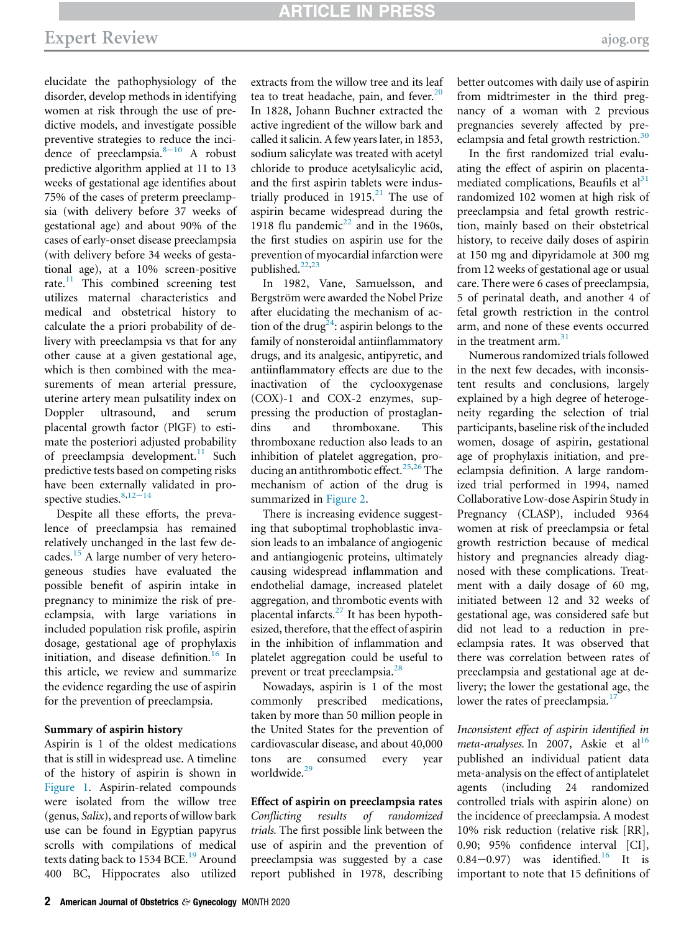elucidate the pathophysiology of the disorder, develop methods in identifying women at risk through the use of predictive models, and investigate possible preventive strategies to reduce the incidence of preeclampsia. $8-10$  $8-10$  A robust predictive algorithm applied at 11 to 13 weeks of gestational age identifies about 75% of the cases of preterm preeclampsia (with delivery before 37 weeks of gestational age) and about 90% of the cases of early-onset disease preeclampsia (with delivery before 34 weeks of gestational age), at a 10% screen-positive rate.<sup>[11](#page-9-6)</sup> This combined screening test utilizes maternal characteristics and medical and obstetrical history to calculate the a priori probability of delivery with preeclampsia vs that for any other cause at a given gestational age, which is then combined with the measurements of mean arterial pressure, uterine artery mean pulsatility index on Doppler ultrasound, and serum placental growth factor (PlGF) to estimate the posteriori adjusted probability of preeclampsia development.<sup>[11](#page-9-6)</sup> Such predictive tests based on competing risks have been externally validated in pro-spective studies.<sup>[8](#page-9-5),12-[14](#page-9-7)</sup>

Despite all these efforts, the prevalence of preeclampsia has remained relatively unchanged in the last few decades.[15](#page-9-8) A large number of very heterogeneous studies have evaluated the possible benefit of aspirin intake in pregnancy to minimize the risk of preeclampsia, with large variations in included population risk profile, aspirin dosage, gestational age of prophylaxis initiation, and disease definition.<sup>[16](#page-9-9)</sup> In this article, we review and summarize the evidence regarding the use of aspirin for the prevention of preeclampsia.

#### Summary of aspirin history

Aspirin is 1 of the oldest medications that is still in widespread use. A timeline of the history of aspirin is shown in [Figure 1](#page-2-0). Aspirin-related compounds were isolated from the willow tree (genus, Salix), and reports of willow bark use can be found in Egyptian papyrus scrolls with compilations of medical texts dating back to 1534 BCE.<sup>[19](#page-9-10)</sup> Around 400 BC, Hippocrates also utilized extracts from the willow tree and its leaf tea to treat headache, pain, and fever.<sup>[20](#page-9-11)</sup> In 1828, Johann Buchner extracted the active ingredient of the willow bark and called it salicin. A few years later, in 1853, sodium salicylate was treated with acetyl chloride to produce acetylsalicylic acid, and the first aspirin tablets were industrially produced in  $1915<sup>21</sup>$  $1915<sup>21</sup>$  $1915<sup>21</sup>$  The use of aspirin became widespread during the 1918 flu pandemic<sup>[22](#page-9-13)</sup> and in the 1960s, the first studies on aspirin use for the prevention of myocardial infarction were published. $22,23$  $22,23$ 

In 1982, Vane, Samuelsson, and Bergström were awarded the Nobel Prize after elucidating the mechanism of ac-tion of the drug<sup>[24](#page-9-15)</sup>: aspirin belongs to the family of nonsteroidal antiinflammatory drugs, and its analgesic, antipyretic, and antiinflammatory effects are due to the inactivation of the cyclooxygenase (COX)-1 and COX-2 enzymes, suppressing the production of prostaglandins and thromboxane. This thromboxane reduction also leads to an inhibition of platelet aggregation, pro-ducing an antithrombotic effect.<sup>[25](#page-9-16)[,26](#page-9-17)</sup> The mechanism of action of the drug is summarized in [Figure 2.](#page-3-0)

There is increasing evidence suggesting that suboptimal trophoblastic invasion leads to an imbalance of angiogenic and antiangiogenic proteins, ultimately causing widespread inflammation and endothelial damage, increased platelet aggregation, and thrombotic events with placental infarcts. $27$  It has been hypothesized, therefore, that the effect of aspirin in the inhibition of inflammation and platelet aggregation could be useful to prevent or treat preeclampsia.<sup>[28](#page-9-19)</sup>

Nowadays, aspirin is 1 of the most commonly prescribed medications, taken by more than 50 million people in the United States for the prevention of cardiovascular disease, and about 40,000 tons are consumed every year worldwide.<sup>[29](#page-9-20)</sup>

Effect of aspirin on preeclampsia rates Conflicting results of randomized trials. The first possible link between the use of aspirin and the prevention of preeclampsia was suggested by a case report published in 1978, describing better outcomes with daily use of aspirin from midtrimester in the third pregnancy of a woman with 2 previous pregnancies severely affected by pre-eclampsia and fetal growth restriction.<sup>[30](#page-9-21)</sup>

In the first randomized trial evaluating the effect of aspirin on placenta-mediated complications, Beaufils et al<sup>[31](#page-9-22)</sup> randomized 102 women at high risk of preeclampsia and fetal growth restriction, mainly based on their obstetrical history, to receive daily doses of aspirin at 150 mg and dipyridamole at 300 mg from 12 weeks of gestational age or usual care. There were 6 cases of preeclampsia, 5 of perinatal death, and another 4 of fetal growth restriction in the control arm, and none of these events occurred in the treatment arm.<sup>[31](#page-9-22)</sup>

Numerous randomized trials followed in the next few decades, with inconsistent results and conclusions, largely explained by a high degree of heterogeneity regarding the selection of trial participants, baseline risk of the included women, dosage of aspirin, gestational age of prophylaxis initiation, and preeclampsia definition. A large randomized trial performed in 1994, named Collaborative Low-dose Aspirin Study in Pregnancy (CLASP), included 9364 women at risk of preeclampsia or fetal growth restriction because of medical history and pregnancies already diagnosed with these complications. Treatment with a daily dosage of 60 mg, initiated between 12 and 32 weeks of gestational age, was considered safe but did not lead to a reduction in preeclampsia rates. It was observed that there was correlation between rates of preeclampsia and gestational age at delivery; the lower the gestational age, the lower the rates of preeclampsia.<sup>[17](#page-9-23)</sup>

Inconsistent effect of aspirin identified in meta-analyses. In 2007, Askie et al<sup>[16](#page-9-9)</sup> published an individual patient data meta-analysis on the effect of antiplatelet agents (including 24 randomized controlled trials with aspirin alone) on the incidence of preeclampsia. A modest 10% risk reduction (relative risk [RR], 0.90; 95% confidence interval [CI],  $0.84-0.97$ ) was identified.<sup>[16](#page-9-9)</sup> It is important to note that 15 definitions of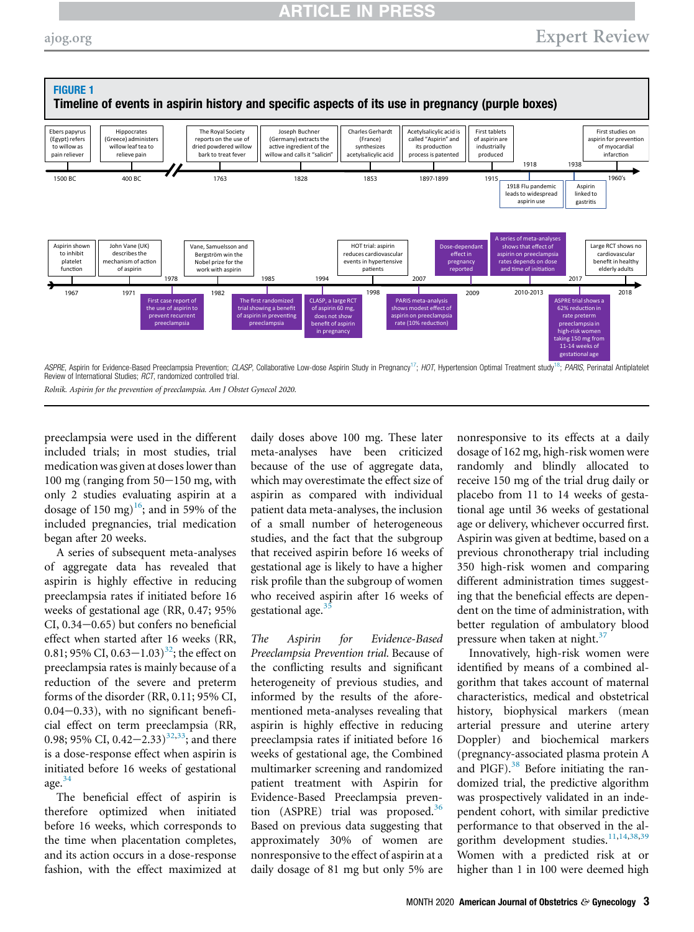<span id="page-2-0"></span>

Rolnik. Aspirin for the prevention of preeclampsia. Am J Obstet Gynecol 2020.

preeclampsia were used in the different included trials; in most studies, trial medication was given at doses lower than  $100 \text{ mg}$  (ranging from  $50-150 \text{ mg}$ , with only 2 studies evaluating aspirin at a dosage of 150 mg)<sup>[16](#page-9-9)</sup>; and in 59% of the included pregnancies, trial medication began after 20 weeks.

A series of subsequent meta-analyses of aggregate data has revealed that aspirin is highly effective in reducing preeclampsia rates if initiated before 16 weeks of gestational age (RR, 0.47; 95%  $CI, 0.34-0.65$ ) but confers no beneficial effect when started after 16 weeks (RR, 0.81; 95% CI, 0.63–1.03)<sup>[32](#page-9-24)</sup>; the effect on preeclampsia rates is mainly because of a reduction of the severe and preterm forms of the disorder (RR, 0.11; 95% CI,  $0.04-0.33$ ), with no significant beneficial effect on term preeclampsia (RR, 0.98; 95% CI, 0.42–2.33)<sup>[32](#page-9-24),[33](#page-9-25)</sup>; and there is a dose-response effect when aspirin is initiated before 16 weeks of gestational age. $34$ 

The beneficial effect of aspirin is therefore optimized when initiated before 16 weeks, which corresponds to the time when placentation completes, and its action occurs in a dose-response fashion, with the effect maximized at

daily doses above 100 mg. These later meta-analyses have been criticized because of the use of aggregate data, which may overestimate the effect size of aspirin as compared with individual patient data meta-analyses, the inclusion of a small number of heterogeneous studies, and the fact that the subgroup that received aspirin before 16 weeks of gestational age is likely to have a higher risk profile than the subgroup of women who received aspirin after 16 weeks of gestational age. $3$ 

The Aspirin for Evidence-Based Preeclampsia Prevention trial. Because of the conflicting results and significant heterogeneity of previous studies, and informed by the results of the aforementioned meta-analyses revealing that aspirin is highly effective in reducing preeclampsia rates if initiated before 16 weeks of gestational age, the Combined multimarker screening and randomized patient treatment with Aspirin for Evidence-Based Preeclampsia prevention  $(ASPRE)$  trial was proposed.<sup>[36](#page-9-28)</sup> Based on previous data suggesting that approximately 30% of women are nonresponsive to the effect of aspirin at a daily dosage of 81 mg but only 5% are

nonresponsive to its effects at a daily dosage of 162 mg, high-risk women were randomly and blindly allocated to receive 150 mg of the trial drug daily or placebo from 11 to 14 weeks of gestational age until 36 weeks of gestational age or delivery, whichever occurred first. Aspirin was given at bedtime, based on a previous chronotherapy trial including 350 high-risk women and comparing different administration times suggesting that the beneficial effects are dependent on the time of administration, with better regulation of ambulatory blood pressure when taken at night.<sup>[37](#page-9-29)</sup>

Innovatively, high-risk women were identified by means of a combined algorithm that takes account of maternal characteristics, medical and obstetrical history, biophysical markers (mean arterial pressure and uterine artery Doppler) and biochemical markers (pregnancy-associated plasma protein A and PlGF). $38$  Before initiating the randomized trial, the predictive algorithm was prospectively validated in an independent cohort, with similar predictive performance to that observed in the al-gorithm development studies.<sup>[11](#page-9-6),[14](#page-9-31),[38](#page-9-30),[39](#page-9-32)</sup> Women with a predicted risk at or higher than 1 in 100 were deemed high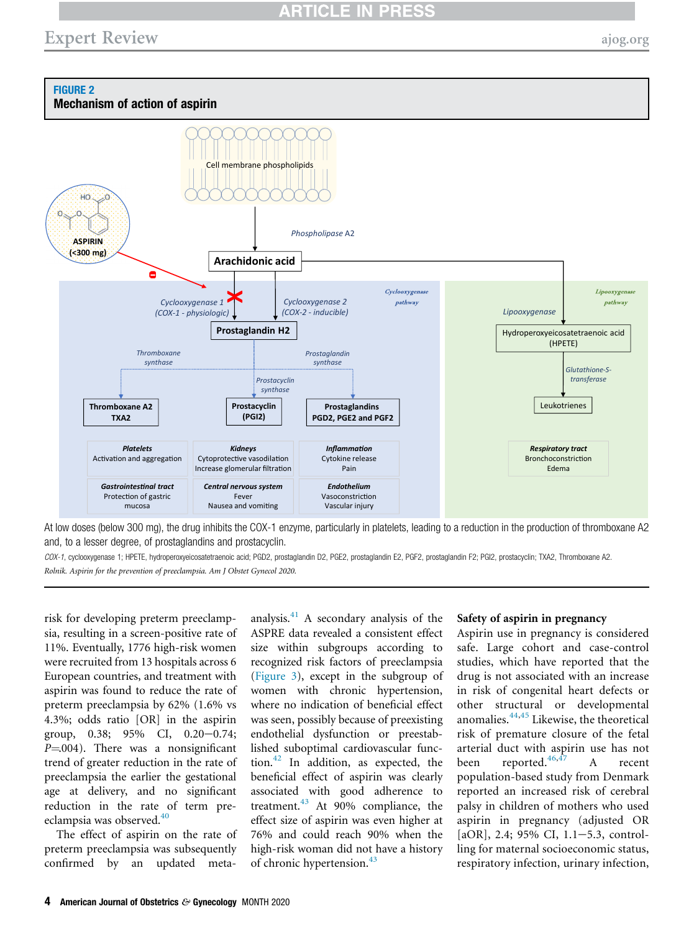## Expert Review [ajog.org](http://www.AJOG.org) and the state of the state of the state and the state of the state and the state and the state and the state and the state and the state and the state and the state and the state and the state and th

<span id="page-3-0"></span>

At low doses (below 300 mg), the drug inhibits the COX-1 enzyme, particularly in platelets, leading to a reduction in the production of thromboxane A2 and, to a lesser degree, of prostaglandins and prostacyclin.

COX-1, cyclooxygenase 1; HPETE, hydroperoxyeicosatetraenoic acid; PGD2, prostaglandin D2, PGE2, prostaglandin E2, PGF2, prostaglandin F2; PGI2, prostacyclin; TXA2, Thromboxane A2. Rolnik. Aspirin for the prevention of preeclampsia. Am J Obstet Gynecol 2020.

risk for developing preterm preeclampsia, resulting in a screen-positive rate of 11%. Eventually, 1776 high-risk women were recruited from 13 hospitals across 6 European countries, and treatment with aspirin was found to reduce the rate of preterm preeclampsia by 62% (1.6% vs 4.3%; odds ratio [OR] in the aspirin group,  $0.38$ ;  $95\%$  CI,  $0.20-0.74$ ;  $P = 004$ ). There was a nonsignificant trend of greater reduction in the rate of preeclampsia the earlier the gestational age at delivery, and no significant reduction in the rate of term pre-eclampsia was observed.<sup>[40](#page-9-34)</sup>

The effect of aspirin on the rate of preterm preeclampsia was subsequently confirmed by an updated metaanalysis.[41](#page-9-35) A secondary analysis of the ASPRE data revealed a consistent effect size within subgroups according to recognized risk factors of preeclampsia ([Figure 3\)](#page-4-0), except in the subgroup of women with chronic hypertension, where no indication of beneficial effect was seen, possibly because of preexisting endothelial dysfunction or preestablished suboptimal cardiovascular function. $42$  In addition, as expected, the beneficial effect of aspirin was clearly associated with good adherence to treatment. $43$  At 90% compliance, the effect size of aspirin was even higher at 76% and could reach 90% when the high-risk woman did not have a history of chronic hypertension.<sup>[43](#page-9-37)</sup>

#### Safety of aspirin in pregnancy

Aspirin use in pregnancy is considered safe. Large cohort and case-control studies, which have reported that the drug is not associated with an increase in risk of congenital heart defects or other structural or developmental anomalies.[44](#page-9-38)[,45](#page-10-0) Likewise, the theoretical risk of premature closure of the fetal arterial duct with aspirin use has not been reported.<sup>[46,](#page-10-1)[47](#page-10-2)</sup> A recent population-based study from Denmark reported an increased risk of cerebral palsy in children of mothers who used aspirin in pregnancy (adjusted OR  $[aOR]$ , 2.4; 95% CI, 1.1-5.3, controlling for maternal socioeconomic status, respiratory infection, urinary infection,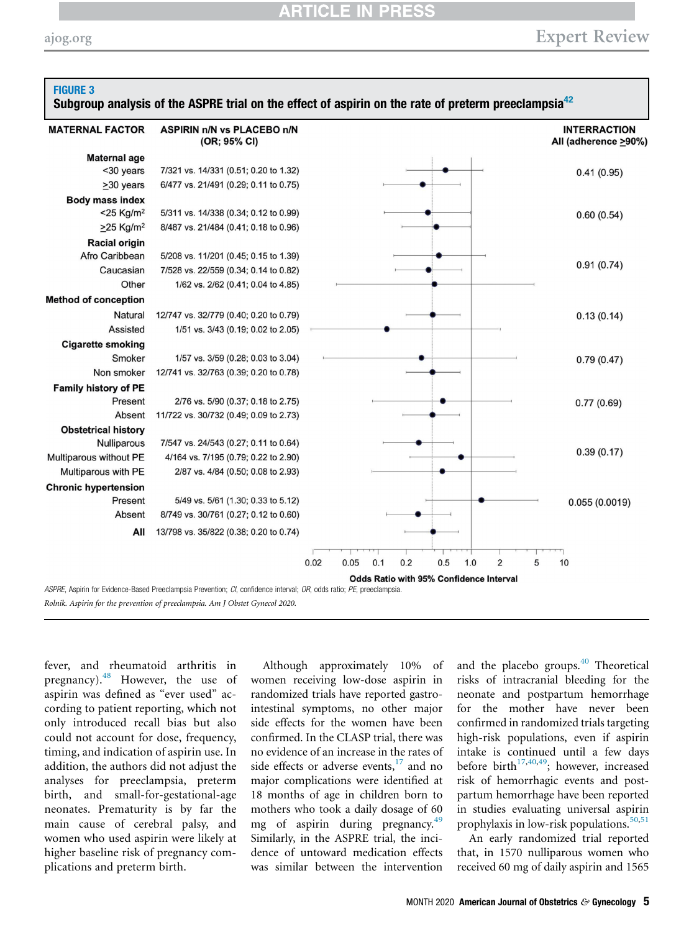### CLE IN **I**

<span id="page-4-0"></span>

| <b>MATERNAL FACTOR</b>      | <b>ASPIRIN n/N vs PLACEBO n/N</b><br>(OR; 95% CI) |                                               | <b>INTERRACTION</b><br>All (adherence >90%) |
|-----------------------------|---------------------------------------------------|-----------------------------------------------|---------------------------------------------|
| <b>Maternal age</b>         |                                                   |                                               |                                             |
| <30 years                   | 7/321 vs. 14/331 (0.51; 0.20 to 1.32)             |                                               | 0.41(0.95)                                  |
| $>30$ years                 | 6/477 vs. 21/491 (0.29; 0.11 to 0.75)             |                                               |                                             |
| <b>Body mass index</b>      |                                                   |                                               |                                             |
| $<$ 25 Kg/m <sup>2</sup>    | 5/311 vs. 14/338 (0.34; 0.12 to 0.99)             |                                               | 0.60(0.54)                                  |
| $\geq$ 25 Kg/m <sup>2</sup> | 8/487 vs. 21/484 (0.41; 0.18 to 0.96)             |                                               |                                             |
| <b>Racial origin</b>        |                                                   |                                               |                                             |
| Afro Caribbean              | 5/208 vs. 11/201 (0.45; 0.15 to 1.39)             |                                               |                                             |
| Caucasian                   | 7/528 vs. 22/559 (0.34; 0.14 to 0.82)             |                                               | 0.91(0.74)                                  |
| Other                       | 1/62 vs. 2/62 (0.41; 0.04 to 4.85)                |                                               |                                             |
| <b>Method of conception</b> |                                                   |                                               |                                             |
| Natural                     | 12/747 vs. 32/779 (0.40; 0.20 to 0.79)            |                                               | 0.13(0.14)                                  |
| Assisted                    | 1/51 vs. 3/43 (0.19; 0.02 to 2.05)                |                                               |                                             |
| <b>Cigarette smoking</b>    |                                                   |                                               |                                             |
| Smoker                      | 1/57 vs. 3/59 (0.28; 0.03 to 3.04)                |                                               | 0.79(0.47)                                  |
| Non smoker                  | 12/741 vs. 32/763 (0.39; 0.20 to 0.78)            |                                               |                                             |
| Family history of PE        |                                                   |                                               |                                             |
| Present                     | 2/76 vs. 5/90 (0.37; 0.18 to 2.75)                |                                               | 0.77(0.69)                                  |
| Absent                      | 11/722 vs. 30/732 (0.49; 0.09 to 2.73)            |                                               |                                             |
| <b>Obstetrical history</b>  |                                                   |                                               |                                             |
| Nulliparous                 | 7/547 vs. 24/543 (0.27; 0.11 to 0.64)             |                                               |                                             |
| Multiparous without PE      | 4/164 vs. 7/195 (0.79; 0.22 to 2.90)              |                                               | 0.39(0.17)                                  |
| Multiparous with PE         | 2/87 vs. 4/84 (0.50; 0.08 to 2.93)                |                                               |                                             |
| <b>Chronic hypertension</b> |                                                   |                                               |                                             |
| Present                     | 5/49 vs. 5/61 (1.30; 0.33 to 5.12)                |                                               | 0.055(0.0019)                               |
| Absent                      | 8/749 vs. 30/761 (0.27; 0.12 to 0.60)             |                                               |                                             |
| All                         | 13/798 vs. 35/822 (0.38; 0.20 to 0.74)            |                                               |                                             |
|                             |                                                   | 0.2<br>0.02<br>0.05<br>0.1<br>0.5<br>1.0<br>2 |                                             |

fever, and rheumatoid arthritis in pregnancy).<sup>[48](#page-10-3)</sup> However, the use of aspirin was defined as "ever used" according to patient reporting, which not only introduced recall bias but also could not account for dose, frequency, timing, and indication of aspirin use. In addition, the authors did not adjust the analyses for preeclampsia, preterm birth, and small-for-gestational-age neonates. Prematurity is by far the main cause of cerebral palsy, and women who used aspirin were likely at higher baseline risk of pregnancy complications and preterm birth.

Although approximately 10% of women receiving low-dose aspirin in randomized trials have reported gastrointestinal symptoms, no other major side effects for the women have been confirmed. In the CLASP trial, there was no evidence of an increase in the rates of side effects or adverse events, $17$  and no major complications were identified at 18 months of age in children born to mothers who took a daily dosage of 60 mg of aspirin during pregnancy.<sup>[49](#page-10-4)</sup> Similarly, in the ASPRE trial, the incidence of untoward medication effects was similar between the intervention

and the placebo groups.<sup>[40](#page-9-34)</sup> Theoretical risks of intracranial bleeding for the neonate and postpartum hemorrhage for the mother have never been confirmed in randomized trials targeting high-risk populations, even if aspirin intake is continued until a few days before birth<sup>[17](#page-9-23)[,40](#page-9-34)[,49](#page-10-4)</sup>; however, increased risk of hemorrhagic events and postpartum hemorrhage have been reported in studies evaluating universal aspirin prophylaxis in low-risk populations. $50,51$  $50,51$  $50,51$ 

An early randomized trial reported that, in 1570 nulliparous women who received 60 mg of daily aspirin and 1565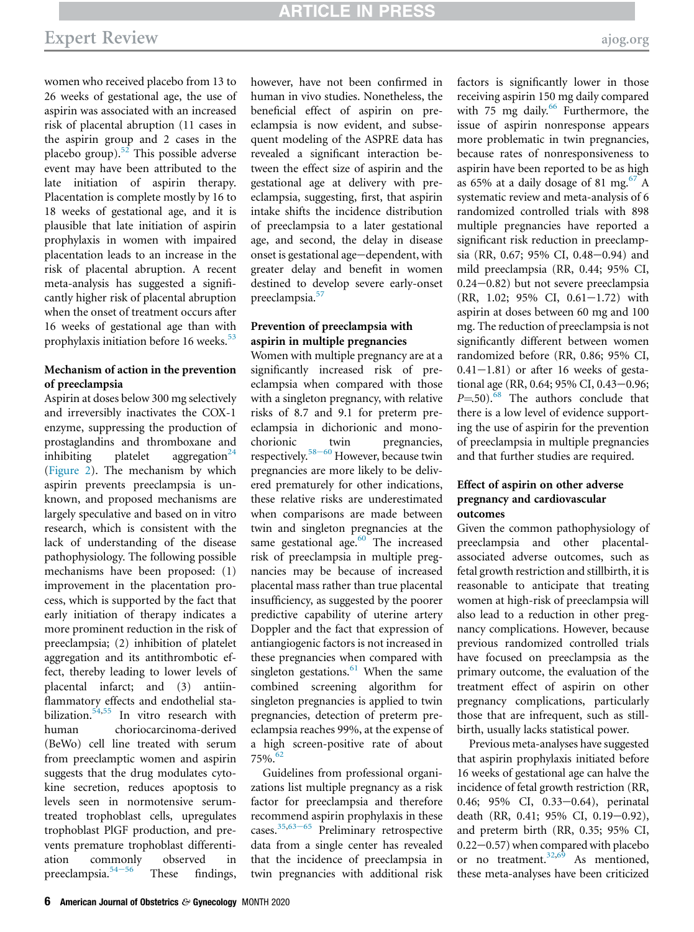women who received placebo from 13 to 26 weeks of gestational age, the use of aspirin was associated with an increased risk of placental abruption (11 cases in the aspirin group and 2 cases in the placebo group). $52$  This possible adverse event may have been attributed to the late initiation of aspirin therapy. Placentation is complete mostly by 16 to 18 weeks of gestational age, and it is plausible that late initiation of aspirin prophylaxis in women with impaired placentation leads to an increase in the risk of placental abruption. A recent meta-analysis has suggested a significantly higher risk of placental abruption when the onset of treatment occurs after 16 weeks of gestational age than with prophylaxis initiation before 16 weeks.<sup>[53](#page-10-8)</sup>

### Mechanism of action in the prevention of preeclampsia

Aspirin at doses below 300 mg selectively and irreversibly inactivates the COX-1 enzyme, suppressing the production of prostaglandins and thromboxane and inhibiting platelet aggregation<sup>[24](#page-9-15)</sup> [\(Figure 2](#page-3-0)). The mechanism by which aspirin prevents preeclampsia is unknown, and proposed mechanisms are largely speculative and based on in vitro research, which is consistent with the lack of understanding of the disease pathophysiology. The following possible mechanisms have been proposed: (1) improvement in the placentation process, which is supported by the fact that early initiation of therapy indicates a more prominent reduction in the risk of preeclampsia; (2) inhibition of platelet aggregation and its antithrombotic effect, thereby leading to lower levels of placental infarct; and (3) antiinflammatory effects and endothelial sta-bilization.<sup>[54](#page-10-9)[,55](#page-10-10)</sup> In vitro research with human choriocarcinoma-derived (BeWo) cell line treated with serum from preeclamptic women and aspirin suggests that the drug modulates cytokine secretion, reduces apoptosis to levels seen in normotensive serumtreated trophoblast cells, upregulates trophoblast PlGF production, and prevents premature trophoblast differentiation commonly observed in preeclampsia. $54-56$  $54-56$  These findings,

however, have not been confirmed in human in vivo studies. Nonetheless, the beneficial effect of aspirin on preeclampsia is now evident, and subsequent modeling of the ASPRE data has revealed a significant interaction between the effect size of aspirin and the gestational age at delivery with preeclampsia, suggesting, first, that aspirin intake shifts the incidence distribution of preeclampsia to a later gestational age, and second, the delay in disease onset is gestational age-dependent, with greater delay and benefit in women destined to develop severe early-onset preeclampsia.<sup>[57](#page-10-11)</sup>

### Prevention of preeclampsia with aspirin in multiple pregnancies

Women with multiple pregnancy are at a significantly increased risk of preeclampsia when compared with those with a singleton pregnancy, with relative risks of 8.7 and 9.1 for preterm preeclampsia in dichorionic and monochorionic twin pregnancies, respectively.<sup>58-[60](#page-10-12)</sup> However, because twin pregnancies are more likely to be delivered prematurely for other indications, these relative risks are underestimated when comparisons are made between twin and singleton pregnancies at the same gestational age. $60$  The increased risk of preeclampsia in multiple pregnancies may be because of increased placental mass rather than true placental insufficiency, as suggested by the poorer predictive capability of uterine artery Doppler and the fact that expression of antiangiogenic factors is not increased in these pregnancies when compared with singleton gestations.<sup>[61](#page-10-14)</sup> When the same combined screening algorithm for singleton pregnancies is applied to twin pregnancies, detection of preterm preeclampsia reaches 99%, at the expense of a high screen-positive rate of about 75%.[62](#page-10-15)

Guidelines from professional organizations list multiple pregnancy as a risk factor for preeclampsia and therefore recommend aspirin prophylaxis in these cases. $35,63-65$  $35,63-65$  $35,63-65$  Preliminary retrospective data from a single center has revealed that the incidence of preeclampsia in twin pregnancies with additional risk

factors is significantly lower in those receiving aspirin 150 mg daily compared with 75 mg daily. $66$  Furthermore, the issue of aspirin nonresponse appears more problematic in twin pregnancies, because rates of nonresponsiveness to aspirin have been reported to be as high as 65% at a daily dosage of 81 mg.<sup>[67](#page-10-18)</sup> A systematic review and meta-analysis of 6 randomized controlled trials with 898 multiple pregnancies have reported a significant risk reduction in preeclampsia (RR, 0.67; 95% CI, 0.48-0.94) and mild preeclampsia (RR, 0.44; 95% CI,  $0.24-0.82$ ) but not severe preeclampsia  $(RR, 1.02; 95\% \text{ CI}, 0.61-1.72)$  with aspirin at doses between 60 mg and 100 mg. The reduction of preeclampsia is not significantly different between women randomized before (RR, 0.86; 95% CI,  $0.41-1.81$ ) or after 16 weeks of gestational age (RR, 0.64; 95% CI, 0.43-0.96;  $P=50$ .<sup>[68](#page-10-19)</sup> The authors conclude that there is a low level of evidence supporting the use of aspirin for the prevention of preeclampsia in multiple pregnancies and that further studies are required.

### Effect of aspirin on other adverse pregnancy and cardiovascular outcomes

Given the common pathophysiology of preeclampsia and other placentalassociated adverse outcomes, such as fetal growth restriction and stillbirth, it is reasonable to anticipate that treating women at high-risk of preeclampsia will also lead to a reduction in other pregnancy complications. However, because previous randomized controlled trials have focused on preeclampsia as the primary outcome, the evaluation of the treatment effect of aspirin on other pregnancy complications, particularly those that are infrequent, such as stillbirth, usually lacks statistical power.

Previous meta-analyses have suggested that aspirin prophylaxis initiated before 16 weeks of gestational age can halve the incidence of fetal growth restriction (RR, 0.46; 95% CI, 0.33-0.64), perinatal death (RR, 0.41; 95% CI, 0.19-0.92), and preterm birth (RR, 0.35; 95% CI,  $0.22-0.57$ ) when compared with placebo or no treatment. $32,69$  $32,69$  As mentioned, these meta-analyses have been criticized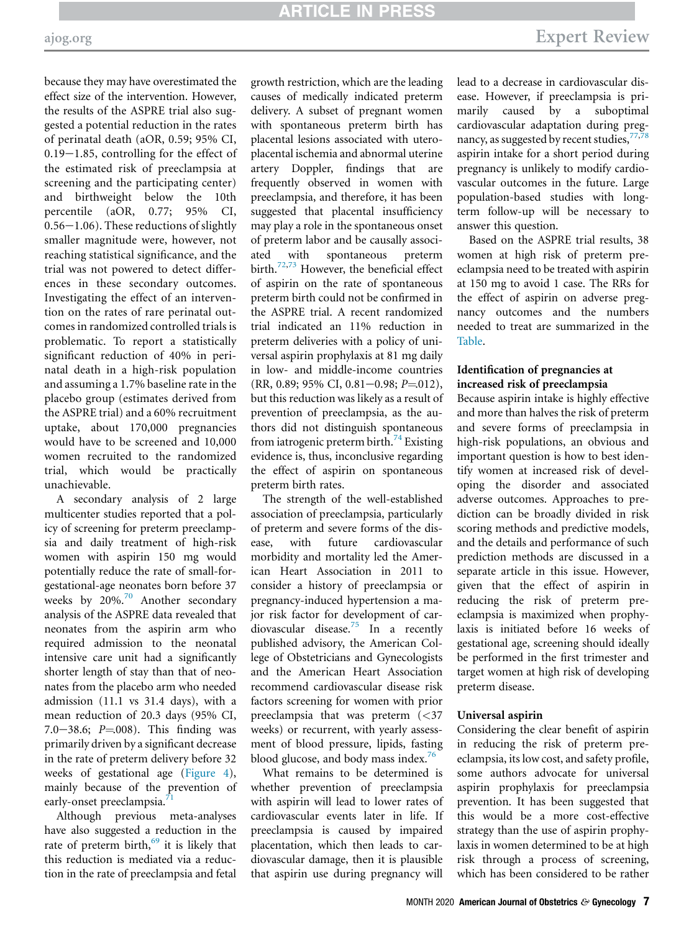because they may have overestimated the effect size of the intervention. However, the results of the ASPRE trial also suggested a potential reduction in the rates of perinatal death (aOR, 0.59; 95% CI,  $0.19-1.85$ , controlling for the effect of the estimated risk of preeclampsia at screening and the participating center) and birthweight below the 10th percentile (aOR, 0.77; 95% CI,  $0.56-1.06$ ). These reductions of slightly smaller magnitude were, however, not reaching statistical significance, and the trial was not powered to detect differences in these secondary outcomes. Investigating the effect of an intervention on the rates of rare perinatal outcomes in randomized controlled trials is problematic. To report a statistically significant reduction of 40% in perinatal death in a high-risk population and assuming a 1.7% baseline rate in the placebo group (estimates derived from the ASPRE trial) and a 60% recruitment uptake, about 170,000 pregnancies would have to be screened and 10,000 women recruited to the randomized trial, which would be practically unachievable.

A secondary analysis of 2 large multicenter studies reported that a policy of screening for preterm preeclampsia and daily treatment of high-risk women with aspirin 150 mg would potentially reduce the rate of small-forgestational-age neonates born before 37 weeks by  $20\%$ .<sup>[70](#page-10-21)</sup> Another secondary analysis of the ASPRE data revealed that neonates from the aspirin arm who required admission to the neonatal intensive care unit had a significantly shorter length of stay than that of neonates from the placebo arm who needed admission (11.1 vs 31.4 days), with a mean reduction of 20.3 days (95% CI, 7.0–38.6;  $P = 008$ ). This finding was primarily driven by a significant decrease in the rate of preterm delivery before 32 weeks of gestational age ([Figure 4](#page-7-0)), mainly because of the prevention of early-onset preeclampsia.<sup>7</sup>

Although previous meta-analyses have also suggested a reduction in the rate of preterm birth, $69$  it is likely that this reduction is mediated via a reduction in the rate of preeclampsia and fetal growth restriction, which are the leading causes of medically indicated preterm delivery. A subset of pregnant women with spontaneous preterm birth has placental lesions associated with uteroplacental ischemia and abnormal uterine artery Doppler, findings that are frequently observed in women with preeclampsia, and therefore, it has been suggested that placental insufficiency may play a role in the spontaneous onset of preterm labor and be causally associated with spontaneous preterm birth.[72,](#page-10-23)[73](#page-10-24) However, the beneficial effect of aspirin on the rate of spontaneous preterm birth could not be confirmed in the ASPRE trial. A recent randomized trial indicated an 11% reduction in preterm deliveries with a policy of universal aspirin prophylaxis at 81 mg daily in low- and middle-income countries  $(RR, 0.89; 95\% \text{ CI}, 0.81-0.98; P=012),$ but this reduction was likely as a result of prevention of preeclampsia, as the authors did not distinguish spontaneous from iatrogenic preterm birth.<sup>[74](#page-10-25)</sup> Existing evidence is, thus, inconclusive regarding the effect of aspirin on spontaneous preterm birth rates.

The strength of the well-established association of preeclampsia, particularly of preterm and severe forms of the disease, with future cardiovascular morbidity and mortality led the American Heart Association in 2011 to consider a history of preeclampsia or pregnancy-induced hypertension a major risk factor for development of car-diovascular disease.<sup>[75](#page-10-26)</sup> In a recently published advisory, the American College of Obstetricians and Gynecologists and the American Heart Association recommend cardiovascular disease risk factors screening for women with prior preeclampsia that was preterm (<37 weeks) or recurrent, with yearly assessment of blood pressure, lipids, fasting blood glucose, and body mass index.<sup>[76](#page-10-27)</sup>

What remains to be determined is whether prevention of preeclampsia with aspirin will lead to lower rates of cardiovascular events later in life. If preeclampsia is caused by impaired placentation, which then leads to cardiovascular damage, then it is plausible that aspirin use during pregnancy will

lead to a decrease in cardiovascular disease. However, if preeclampsia is primarily caused by a suboptimal cardiovascular adaptation during pregnancy, as suggested by recent studies,  $77,78$  $77,78$  $77,78$ aspirin intake for a short period during pregnancy is unlikely to modify cardiovascular outcomes in the future. Large population-based studies with longterm follow-up will be necessary to answer this question.

Based on the ASPRE trial results, 38 women at high risk of preterm preeclampsia need to be treated with aspirin at 150 mg to avoid 1 case. The RRs for the effect of aspirin on adverse pregnancy outcomes and the numbers needed to treat are summarized in the [Table.](#page-8-0)

### Identification of pregnancies at increased risk of preeclampsia

Because aspirin intake is highly effective and more than halves the risk of preterm and severe forms of preeclampsia in high-risk populations, an obvious and important question is how to best identify women at increased risk of developing the disorder and associated adverse outcomes. Approaches to prediction can be broadly divided in risk scoring methods and predictive models, and the details and performance of such prediction methods are discussed in a separate article in this issue. However, given that the effect of aspirin in reducing the risk of preterm preeclampsia is maximized when prophylaxis is initiated before 16 weeks of gestational age, screening should ideally be performed in the first trimester and target women at high risk of developing preterm disease.

#### Universal aspirin

Considering the clear benefit of aspirin in reducing the risk of preterm preeclampsia, its low cost, and safety profile, some authors advocate for universal aspirin prophylaxis for preeclampsia prevention. It has been suggested that this would be a more cost-effective strategy than the use of aspirin prophylaxis in women determined to be at high risk through a process of screening, which has been considered to be rather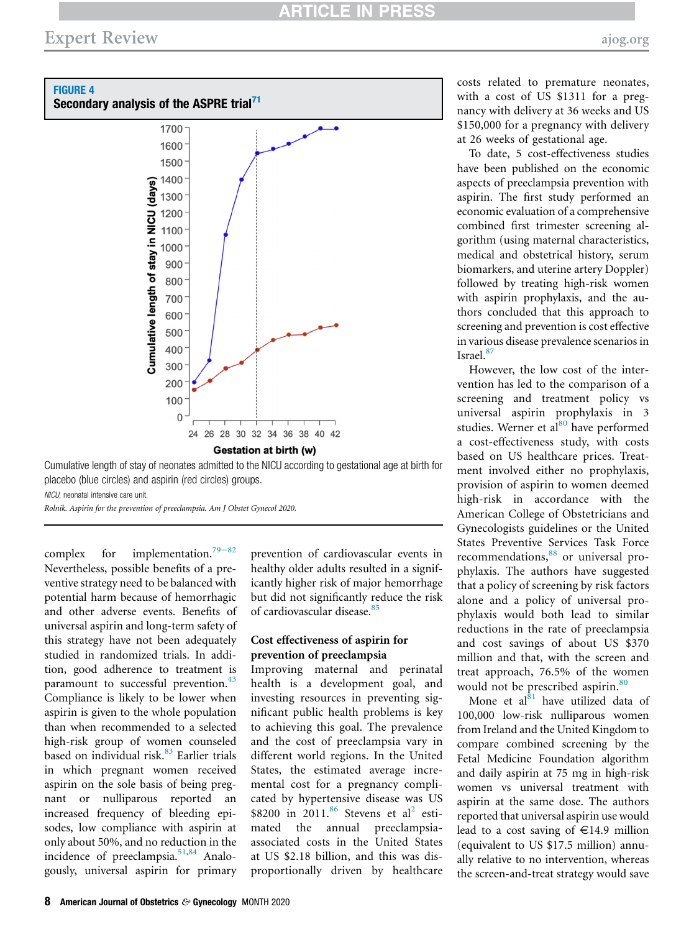<span id="page-7-0"></span>

Gestation at birth (w)

Cumulative length of stay of neonates admitted to the NICU according to gestational age at birth for placebo (blue circles) and aspirin (red circles) groups.

NICU, neonatal intensive care unit.

Rolnik. Aspirin for the prevention of preeclampsia. Am J Obstet Gynecol 2020.

complex for implementation.<sup>[79](#page-10-30)-82</sup> Nevertheless, possible benefits of a preventive strategy need to be balanced with potential harm because of hemorrhagic and other adverse events. Benefits of universal aspirin and long-term safety of this strategy have not been adequately studied in randomized trials. In addition, good adherence to treatment is paramount to successful prevention.<sup>[43](#page-9-37)</sup> Compliance is likely to be lower when aspirin is given to the whole population than when recommended to a selected high-risk group of women counseled based on individual risk.<sup>[83](#page-10-31)</sup> Earlier trials in which pregnant women received aspirin on the sole basis of being pregnant or nulliparous reported an increased frequency of bleeding episodes, low compliance with aspirin at only about 50%, and no reduction in the incidence of preeclampsia.<sup>[51](#page-10-6)[,84](#page-10-32)</sup> Analogously, universal aspirin for primary

prevention of cardiovascular events in healthy older adults resulted in a significantly higher risk of major hemorrhage but did not significantly reduce the risk of cardiovascular disease.<sup>[85](#page-11-0)</sup>

### Cost effectiveness of aspirin for prevention of preeclampsia

Improving maternal and perinatal health is a development goal, and investing resources in preventing significant public health problems is key to achieving this goal. The prevalence and the cost of preeclampsia vary in different world regions. In the United States, the estimated average incremental cost for a pregnancy complicated by hypertensive disease was US  $$8200$  $$8200$  $$8200$  in 2011.<sup>[86](#page-11-1)</sup> Stevens et al<sup>2</sup> estimated the annual preeclampsiaassociated costs in the United States at US \$2.18 billion, and this was disproportionally driven by healthcare

costs related to premature neonates, with a cost of US \$1311 for a pregnancy with delivery at 36 weeks and US \$150,000 for a pregnancy with delivery at 26 weeks of gestational age.

To date, 5 cost-effectiveness studies have been published on the economic aspects of preeclampsia prevention with aspirin. The first study performed an economic evaluation of a comprehensive combined first trimester screening algorithm (using maternal characteristics, medical and obstetrical history, serum biomarkers, and uterine artery Doppler) followed by treating high-risk women with aspirin prophylaxis, and the authors concluded that this approach to screening and prevention is cost effective in various disease prevalence scenarios in Israel.[87](#page-11-2)

However, the low cost of the intervention has led to the comparison of a screening and treatment policy vs universal aspirin prophylaxis in 3 studies. Werner et al $^{80}$  $^{80}$  $^{80}$  have performed a cost-effectiveness study, with costs based on US healthcare prices. Treatment involved either no prophylaxis, provision of aspirin to women deemed high-risk in accordance with the American College of Obstetricians and Gynecologists guidelines or the United States Preventive Services Task Force recommendations,  $88$  or universal prophylaxis. The authors have suggested that a policy of screening by risk factors alone and a policy of universal prophylaxis would both lead to similar reductions in the rate of preeclampsia and cost savings of about US \$370 million and that, with the screen and treat approach, 76.5% of the women would not be prescribed aspirin.<sup>[80](#page-10-33)</sup>

Mone et al $^{81}$  $^{81}$  $^{81}$  have utilized data of 100,000 low-risk nulliparous women from Ireland and the United Kingdom to compare combined screening by the Fetal Medicine Foundation algorithm and daily aspirin at 75 mg in high-risk women vs universal treatment with aspirin at the same dose. The authors reported that universal aspirin use would lead to a cost saving of  $\in$ 14.9 million (equivalent to US \$17.5 million) annually relative to no intervention, whereas the screen-and-treat strategy would save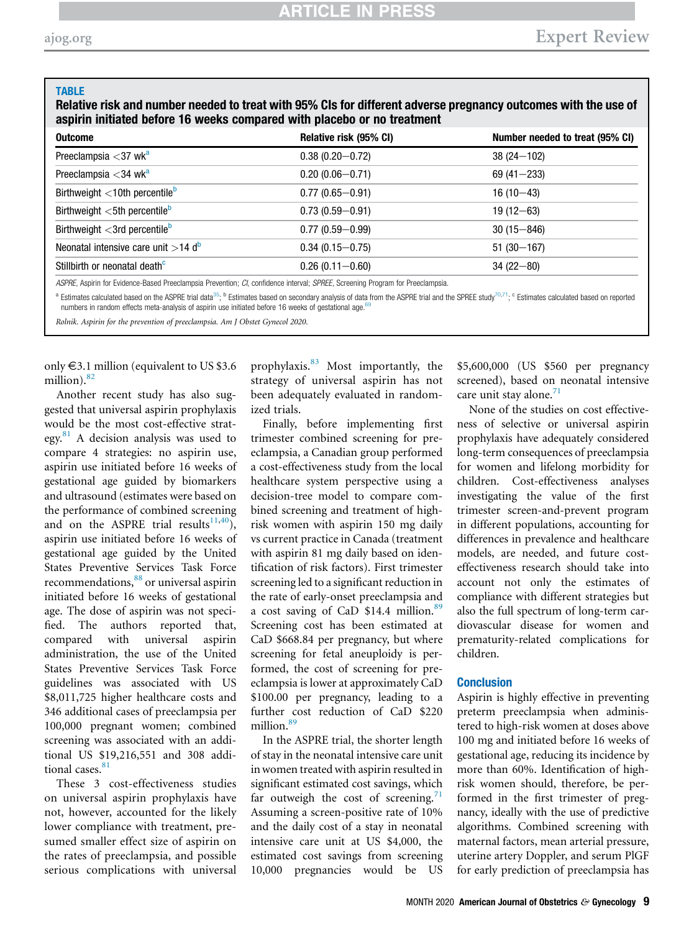#### <span id="page-8-0"></span>**TABLE**

Relative risk and number needed to treat with 95% CIs for different adverse pregnancy outcomes with the use of aspirin initiated before 16 weeks compared with placebo or no treatment

| <b>Outcome</b>                                                                                                              | Relative risk (95% CI) | Number needed to treat (95% CI) |
|-----------------------------------------------------------------------------------------------------------------------------|------------------------|---------------------------------|
| Preeclampsia $<$ 37 wk <sup>a</sup>                                                                                         | $0.38(0.20 - 0.72)$    | $38(24 - 102)$                  |
| Preeclampsia $<$ 34 wk <sup>a</sup>                                                                                         | $0.20(0.06 - 0.71)$    | $69(41 - 233)$                  |
| Birthweight $<$ 10th percentile $b$                                                                                         | $0.77(0.65 - 0.91)$    | $16(10-43)$                     |
| Birthweight $<$ 5th percentile $b$                                                                                          | $0.73(0.59 - 0.91)$    | $19(12 - 63)$                   |
| Birthweight $<$ 3rd percentile $b$                                                                                          | $0.77(0.59 - 0.99)$    | $30(15 - 846)$                  |
| Neonatal intensive care unit $>$ 14 d <sup>b</sup>                                                                          | $0.34(0.15 - 0.75)$    | $51(30 - 167)$                  |
| Stillbirth or neonatal death <sup>c</sup>                                                                                   | $0.26(0.11 - 0.60)$    | $34(22 - 80)$                   |
| ACDDE, Applicin for Evidence Resed Procedemneis Provention: CL confidence interval: CDDEE Coroning Program for Procedemneis |                        |                                 |

ASPRE, Aspirin for Evidence-Based Preeclampsia Prevention; CI, confidence interval; SPREE, Screening Program for Preeclampsia.

<span id="page-8-1"></span><sup>a</sup> Estimates calculated based on the ASPRE trial data<sup>[35](#page-9-27)</sup>; <sup>b</sup> Estimates based on secondary analysis of data from the ASPRE trial and the SPREE study<sup>[70](#page-10-21)[,71](#page-10-22)</sup>; <sup>c</sup> Estimates calculated based on reported numbers in random effects meta-analysis of aspirin use initiated before 16 weeks of gestational age.

Rolnik. Aspirin for the prevention of preeclampsia. Am J Obstet Gynecol 2020.

only  $\epsilon$ 3.1 million (equivalent to US \$3.6) million). $82$ 

Another recent study has also suggested that universal aspirin prophylaxis would be the most cost-effective strategy. $81$  A decision analysis was used to compare 4 strategies: no aspirin use, aspirin use initiated before 16 weeks of gestational age guided by biomarkers and ultrasound (estimates were based on the performance of combined screening and on the ASPRE trial results<sup>[11](#page-9-6)[,40](#page-9-34)</sup>), aspirin use initiated before 16 weeks of gestational age guided by the United States Preventive Services Task Force recommendations,<sup>[88](#page-11-3)</sup> or universal aspirin initiated before 16 weeks of gestational age. The dose of aspirin was not specified. The authors reported that, compared with universal aspirin administration, the use of the United States Preventive Services Task Force guidelines was associated with US \$8,011,725 higher healthcare costs and 346 additional cases of preeclampsia per 100,000 pregnant women; combined screening was associated with an additional US \$19,216,551 and 308 additional cases. $81$ 

These 3 cost-effectiveness studies on universal aspirin prophylaxis have not, however, accounted for the likely lower compliance with treatment, presumed smaller effect size of aspirin on the rates of preeclampsia, and possible serious complications with universal prophylaxis.[83](#page-10-31) Most importantly, the strategy of universal aspirin has not been adequately evaluated in randomized trials.

Finally, before implementing first trimester combined screening for preeclampsia, a Canadian group performed a cost-effectiveness study from the local healthcare system perspective using a decision-tree model to compare combined screening and treatment of highrisk women with aspirin 150 mg daily vs current practice in Canada (treatment with aspirin 81 mg daily based on identification of risk factors). First trimester screening led to a significant reduction in the rate of early-onset preeclampsia and a cost saving of CaD \$14.4 million.<sup>[89](#page-11-4)</sup> Screening cost has been estimated at CaD \$668.84 per pregnancy, but where screening for fetal aneuploidy is performed, the cost of screening for preeclampsia is lower at approximately CaD \$100.00 per pregnancy, leading to a further cost reduction of CaD \$220 million.<sup>[89](#page-11-4)</sup>

In the ASPRE trial, the shorter length of stay in the neonatal intensive care unit in women treated with aspirin resulted in significant estimated cost savings, which far outweigh the cost of screening.<sup>[71](#page-10-22)</sup> Assuming a screen-positive rate of 10% and the daily cost of a stay in neonatal intensive care unit at US \$4,000, the estimated cost savings from screening 10,000 pregnancies would be US

\$5,600,000 (US \$560 per pregnancy screened), based on neonatal intensive care unit stay alone. $71$ 

None of the studies on cost effectiveness of selective or universal aspirin prophylaxis have adequately considered long-term consequences of preeclampsia for women and lifelong morbidity for children. Cost-effectiveness analyses investigating the value of the first trimester screen-and-prevent program in different populations, accounting for differences in prevalence and healthcare models, are needed, and future costeffectiveness research should take into account not only the estimates of compliance with different strategies but also the full spectrum of long-term cardiovascular disease for women and prematurity-related complications for children.

#### **Conclusion**

Aspirin is highly effective in preventing preterm preeclampsia when administered to high-risk women at doses above 100 mg and initiated before 16 weeks of gestational age, reducing its incidence by more than 60%. Identification of highrisk women should, therefore, be performed in the first trimester of pregnancy, ideally with the use of predictive algorithms. Combined screening with maternal factors, mean arterial pressure, uterine artery Doppler, and serum PlGF for early prediction of preeclampsia has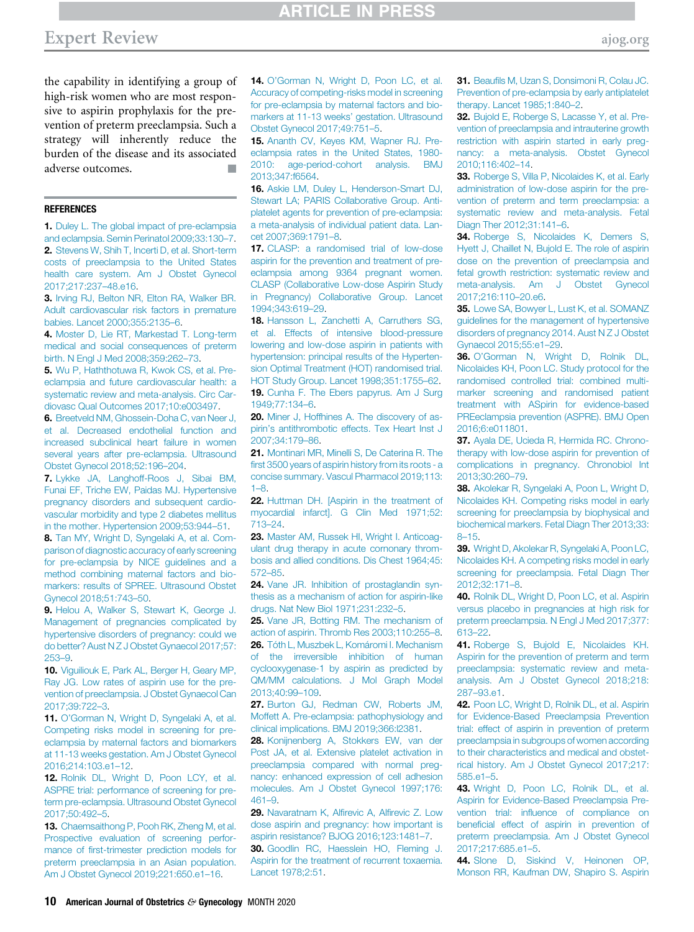the capability in identifying a group of high-risk women who are most responsive to aspirin prophylaxis for the prevention of preterm preeclampsia. Such a strategy will inherently reduce the burden of the disease and its associated adverse outcomes.

#### <span id="page-9-0"></span>**REFERENCES**

<span id="page-9-1"></span>1. [Duley L. The global impact of pre-eclampsia](http://refhub.elsevier.com/S0002-9378(20)30873-5/sref1) [and eclampsia. Semin Perinatol 2009;33:130](http://refhub.elsevier.com/S0002-9378(20)30873-5/sref1)–7. 2. [Stevens W, Shih T, Incerti D, et al. Short-term](http://refhub.elsevier.com/S0002-9378(20)30873-5/sref2) [costs of preeclampsia to the United States](http://refhub.elsevier.com/S0002-9378(20)30873-5/sref2) [health care system. Am J Obstet Gynecol](http://refhub.elsevier.com/S0002-9378(20)30873-5/sref2) [2017;217:237](http://refhub.elsevier.com/S0002-9378(20)30873-5/sref2)–48.e16.

<span id="page-9-2"></span>3. [Irving RJ, Belton NR, Elton RA, Walker BR.](http://refhub.elsevier.com/S0002-9378(20)30873-5/sref3) [Adult cardiovascular risk factors in premature](http://refhub.elsevier.com/S0002-9378(20)30873-5/sref3) [babies. Lancet 2000;355:2135](http://refhub.elsevier.com/S0002-9378(20)30873-5/sref3)–6.

<span id="page-9-3"></span>4. [Moster D, Lie RT, Markestad T. Long-term](http://refhub.elsevier.com/S0002-9378(20)30873-5/sref4) medical and social consequences of preterm birth. N Engl J Med 2008;359:262–73.

<span id="page-9-4"></span>5. [Wu P, Haththotuwa R, Kwok CS, et al. Pre](http://refhub.elsevier.com/S0002-9378(20)30873-5/sref5)[eclampsia and future cardiovascular health: a](http://refhub.elsevier.com/S0002-9378(20)30873-5/sref5) [systematic review and meta-analysis. Circ Car](http://refhub.elsevier.com/S0002-9378(20)30873-5/sref5)[diovasc Qual Outcomes 2017;10:e003497](http://refhub.elsevier.com/S0002-9378(20)30873-5/sref5).

6. [Breetveld NM, Ghossein-Doha C, van Neer J,](http://refhub.elsevier.com/S0002-9378(20)30873-5/sref6) [et al. Decreased endothelial function and](http://refhub.elsevier.com/S0002-9378(20)30873-5/sref6) [increased subclinical heart failure in women](http://refhub.elsevier.com/S0002-9378(20)30873-5/sref6) [several years after pre-eclampsia. Ultrasound](http://refhub.elsevier.com/S0002-9378(20)30873-5/sref6) [Obstet Gynecol 2018;52:196](http://refhub.elsevier.com/S0002-9378(20)30873-5/sref6)–204.

7. [Lykke JA, Langhoff-Roos J, Sibai BM,](http://refhub.elsevier.com/S0002-9378(20)30873-5/sref7) [Funai EF, Triche EW, Paidas MJ. Hypertensive](http://refhub.elsevier.com/S0002-9378(20)30873-5/sref7) [pregnancy disorders and subsequent cardio](http://refhub.elsevier.com/S0002-9378(20)30873-5/sref7)[vascular morbidity and type 2 diabetes mellitus](http://refhub.elsevier.com/S0002-9378(20)30873-5/sref7) [in the mother. Hypertension 2009;53:944](http://refhub.elsevier.com/S0002-9378(20)30873-5/sref7)–51.

<span id="page-9-5"></span>8. [Tan MY, Wright D, Syngelaki A, et al. Com](http://refhub.elsevier.com/S0002-9378(20)30873-5/sref8)[parison of diagnostic accuracy of early screening](http://refhub.elsevier.com/S0002-9378(20)30873-5/sref8) [for pre-eclampsia by NICE guidelines and a](http://refhub.elsevier.com/S0002-9378(20)30873-5/sref8) [method combining maternal factors and bio](http://refhub.elsevier.com/S0002-9378(20)30873-5/sref8)[markers: results of SPREE. Ultrasound Obstet](http://refhub.elsevier.com/S0002-9378(20)30873-5/sref8) [Gynecol 2018;51:743](http://refhub.elsevier.com/S0002-9378(20)30873-5/sref8)–50.

9. [Helou A, Walker S, Stewart K, George J.](http://refhub.elsevier.com/S0002-9378(20)30873-5/sref9) [Management of pregnancies complicated by](http://refhub.elsevier.com/S0002-9378(20)30873-5/sref9) [hypertensive disorders of pregnancy: could we](http://refhub.elsevier.com/S0002-9378(20)30873-5/sref9) [do better? Aust N Z J Obstet Gynaecol 2017;57:](http://refhub.elsevier.com/S0002-9378(20)30873-5/sref9) [253](http://refhub.elsevier.com/S0002-9378(20)30873-5/sref9)–9.

10. [Viguiliouk E, Park AL, Berger H, Geary MP,](http://refhub.elsevier.com/S0002-9378(20)30873-5/sref10) [Ray JG. Low rates of aspirin use for the pre](http://refhub.elsevier.com/S0002-9378(20)30873-5/sref10)[vention of preeclampsia. J Obstet Gynaecol Can](http://refhub.elsevier.com/S0002-9378(20)30873-5/sref10) [2017;39:722](http://refhub.elsevier.com/S0002-9378(20)30873-5/sref10)–3.

<span id="page-9-6"></span>11. O'[Gorman N, Wright D, Syngelaki A, et al.](http://refhub.elsevier.com/S0002-9378(20)30873-5/sref11) [Competing risks model in screening for pre](http://refhub.elsevier.com/S0002-9378(20)30873-5/sref11)[eclampsia by maternal factors and biomarkers](http://refhub.elsevier.com/S0002-9378(20)30873-5/sref11) [at 11-13 weeks gestation. Am J Obstet Gynecol](http://refhub.elsevier.com/S0002-9378(20)30873-5/sref11) [2016;214:103.e1](http://refhub.elsevier.com/S0002-9378(20)30873-5/sref11)–12.

<span id="page-9-7"></span>12. [Rolnik DL, Wright D, Poon LCY, et al.](http://refhub.elsevier.com/S0002-9378(20)30873-5/sref12) [ASPRE trial: performance of screening for pre](http://refhub.elsevier.com/S0002-9378(20)30873-5/sref12)[term pre-eclampsia. Ultrasound Obstet Gynecol](http://refhub.elsevier.com/S0002-9378(20)30873-5/sref12) [2017;50:492](http://refhub.elsevier.com/S0002-9378(20)30873-5/sref12)–5.

13. [Chaemsaithong P, Pooh RK, Zheng M, et al.](http://refhub.elsevier.com/S0002-9378(20)30873-5/sref13) [Prospective evaluation of screening perfor](http://refhub.elsevier.com/S0002-9378(20)30873-5/sref13)mance of fi[rst-trimester prediction models for](http://refhub.elsevier.com/S0002-9378(20)30873-5/sref13) [preterm preeclampsia in an Asian population.](http://refhub.elsevier.com/S0002-9378(20)30873-5/sref13) [Am J Obstet Gynecol 2019;221:650.e1](http://refhub.elsevier.com/S0002-9378(20)30873-5/sref13)–16.

<span id="page-9-31"></span>14. O'[Gorman N, Wright D, Poon LC, et al.](http://refhub.elsevier.com/S0002-9378(20)30873-5/sref14) [Accuracy of competing-risks model in screening](http://refhub.elsevier.com/S0002-9378(20)30873-5/sref14) [for pre-eclampsia by maternal factors and bio](http://refhub.elsevier.com/S0002-9378(20)30873-5/sref14)[markers at 11-13 weeks](http://refhub.elsevier.com/S0002-9378(20)30873-5/sref14)' gestation. Ultrasound [Obstet Gynecol 2017;49:751](http://refhub.elsevier.com/S0002-9378(20)30873-5/sref14)–5.

<span id="page-9-8"></span>15. [Ananth CV, Keyes KM, Wapner RJ. Pre](http://refhub.elsevier.com/S0002-9378(20)30873-5/sref15)[eclampsia rates in the United States, 1980-](http://refhub.elsevier.com/S0002-9378(20)30873-5/sref15) [2010: age-period-cohort analysis. BMJ](http://refhub.elsevier.com/S0002-9378(20)30873-5/sref15) [2013;347:f6564.](http://refhub.elsevier.com/S0002-9378(20)30873-5/sref15)

<span id="page-9-9"></span>16. [Askie LM, Duley L, Henderson-Smart DJ,](http://refhub.elsevier.com/S0002-9378(20)30873-5/sref16) [Stewart LA; PARIS Collaborative Group. Anti](http://refhub.elsevier.com/S0002-9378(20)30873-5/sref16)[platelet agents for prevention of pre-eclampsia:](http://refhub.elsevier.com/S0002-9378(20)30873-5/sref16) [a meta-analysis of individual patient data. Lan](http://refhub.elsevier.com/S0002-9378(20)30873-5/sref16)[cet 2007;369:1791](http://refhub.elsevier.com/S0002-9378(20)30873-5/sref16)–8.

<span id="page-9-23"></span>17. [CLASP: a randomised trial of low-dose](http://refhub.elsevier.com/S0002-9378(20)30873-5/sref17) [aspirin for the prevention and treatment of pre](http://refhub.elsevier.com/S0002-9378(20)30873-5/sref17)[eclampsia among 9364 pregnant women.](http://refhub.elsevier.com/S0002-9378(20)30873-5/sref17) [CLASP \(Collaborative Low-dose Aspirin Study](http://refhub.elsevier.com/S0002-9378(20)30873-5/sref17) [in Pregnancy\) Collaborative Group. Lancet](http://refhub.elsevier.com/S0002-9378(20)30873-5/sref17) [1994;343:619](http://refhub.elsevier.com/S0002-9378(20)30873-5/sref17)–29.

<span id="page-9-33"></span>18. [Hansson L, Zanchetti A, Carruthers SG,](http://refhub.elsevier.com/S0002-9378(20)30873-5/sref18) [et al. Effects of intensive blood-pressure](http://refhub.elsevier.com/S0002-9378(20)30873-5/sref18) [lowering and low-dose aspirin in patients with](http://refhub.elsevier.com/S0002-9378(20)30873-5/sref18) [hypertension: principal results of the Hyperten](http://refhub.elsevier.com/S0002-9378(20)30873-5/sref18)[sion Optimal Treatment \(HOT\) randomised trial.](http://refhub.elsevier.com/S0002-9378(20)30873-5/sref18) [HOT Study Group. Lancet 1998;351:1755](http://refhub.elsevier.com/S0002-9378(20)30873-5/sref18)–62.

<span id="page-9-10"></span>19. [Cunha F. The Ebers papyrus. Am J Surg](http://refhub.elsevier.com/S0002-9378(20)30873-5/sref19) [1949;77:134](http://refhub.elsevier.com/S0002-9378(20)30873-5/sref19)–6.

<span id="page-9-11"></span>20. [Miner J, Hoffhines A. The discovery of as](http://refhub.elsevier.com/S0002-9378(20)30873-5/sref20)pirin'[s antithrombotic effects. Tex Heart Inst J](http://refhub.elsevier.com/S0002-9378(20)30873-5/sref20) [2007;34:179](http://refhub.elsevier.com/S0002-9378(20)30873-5/sref20)–86.

<span id="page-9-12"></span>21. [Montinari MR, Minelli S, De Caterina R. The](http://refhub.elsevier.com/S0002-9378(20)30873-5/sref21) fi[rst 3500 years of aspirin history from its roots - a](http://refhub.elsevier.com/S0002-9378(20)30873-5/sref21) [concise summary. Vascul Pharmacol 2019;113:](http://refhub.elsevier.com/S0002-9378(20)30873-5/sref21) 1–[8.](http://refhub.elsevier.com/S0002-9378(20)30873-5/sref21)

<span id="page-9-13"></span>22. [Huttman DH. \[Aspirin in the treatment of](http://refhub.elsevier.com/S0002-9378(20)30873-5/sref22) [myocardial infarct\]. G Clin Med 1971;52:](http://refhub.elsevier.com/S0002-9378(20)30873-5/sref22) [713](http://refhub.elsevier.com/S0002-9378(20)30873-5/sref22)–24.

<span id="page-9-14"></span>23. [Master AM, Russek HI, Wright I. Anticoag](http://refhub.elsevier.com/S0002-9378(20)30873-5/sref23)[ulant drug therapy in acute cornonary throm](http://refhub.elsevier.com/S0002-9378(20)30873-5/sref23)[bosis and allied conditions. Dis Chest 1964;45:](http://refhub.elsevier.com/S0002-9378(20)30873-5/sref23) [572](http://refhub.elsevier.com/S0002-9378(20)30873-5/sref23)–85.

<span id="page-9-15"></span>24. [Vane JR. Inhibition of prostaglandin syn](http://refhub.elsevier.com/S0002-9378(20)30873-5/sref24)[thesis as a mechanism of action for aspirin-like](http://refhub.elsevier.com/S0002-9378(20)30873-5/sref24) [drugs. Nat New Biol 1971;231:232](http://refhub.elsevier.com/S0002-9378(20)30873-5/sref24)–5.

<span id="page-9-17"></span><span id="page-9-16"></span>25. [Vane JR, Botting RM. The mechanism of](http://refhub.elsevier.com/S0002-9378(20)30873-5/sref25) [action of aspirin. Thromb Res 2003;110:255](http://refhub.elsevier.com/S0002-9378(20)30873-5/sref25)–8. 26. [Tóth L, Muszbek L, Komáromi I. Mechanism](http://refhub.elsevier.com/S0002-9378(20)30873-5/sref26) [of the irreversible inhibition of human](http://refhub.elsevier.com/S0002-9378(20)30873-5/sref26) [cyclooxygenase-1 by aspirin as predicted by](http://refhub.elsevier.com/S0002-9378(20)30873-5/sref26) [QM/MM calculations. J Mol Graph Model](http://refhub.elsevier.com/S0002-9378(20)30873-5/sref26) [2013;40:99](http://refhub.elsevier.com/S0002-9378(20)30873-5/sref26)–109.

<span id="page-9-18"></span>27. [Burton GJ, Redman CW, Roberts JM,](http://refhub.elsevier.com/S0002-9378(20)30873-5/sref27) [Moffett A. Pre-eclampsia: pathophysiology and](http://refhub.elsevier.com/S0002-9378(20)30873-5/sref27) [clinical implications. BMJ 2019;366:l2381](http://refhub.elsevier.com/S0002-9378(20)30873-5/sref27).

<span id="page-9-19"></span>28. [Konijnenberg A, Stokkers EW, van der](http://refhub.elsevier.com/S0002-9378(20)30873-5/sref28) [Post JA, et al. Extensive platelet activation in](http://refhub.elsevier.com/S0002-9378(20)30873-5/sref28) [preeclampsia compared with normal preg](http://refhub.elsevier.com/S0002-9378(20)30873-5/sref28)[nancy: enhanced expression of cell adhesion](http://refhub.elsevier.com/S0002-9378(20)30873-5/sref28) [molecules. Am J Obstet Gynecol 1997;176:](http://refhub.elsevier.com/S0002-9378(20)30873-5/sref28) [461](http://refhub.elsevier.com/S0002-9378(20)30873-5/sref28)–9.

<span id="page-9-20"></span>29. [Navaratnam K, Al](http://refhub.elsevier.com/S0002-9378(20)30873-5/sref29)firevic A, Alfirevic Z. Low [dose aspirin and pregnancy: how important is](http://refhub.elsevier.com/S0002-9378(20)30873-5/sref29) [aspirin resistance? BJOG 2016;123:1481](http://refhub.elsevier.com/S0002-9378(20)30873-5/sref29)–7.

<span id="page-9-21"></span>30. [Goodlin RC, Haesslein HO, Fleming J.](http://refhub.elsevier.com/S0002-9378(20)30873-5/sref30) [Aspirin for the treatment of recurrent toxaemia.](http://refhub.elsevier.com/S0002-9378(20)30873-5/sref30) [Lancet 1978;2:51](http://refhub.elsevier.com/S0002-9378(20)30873-5/sref30).

<span id="page-9-22"></span>31. Beaufi[ls M, Uzan S, Donsimoni R, Colau JC.](http://refhub.elsevier.com/S0002-9378(20)30873-5/sref31) [Prevention of pre-eclampsia by early antiplatelet](http://refhub.elsevier.com/S0002-9378(20)30873-5/sref31) [therapy. Lancet 1985;1:840](http://refhub.elsevier.com/S0002-9378(20)30873-5/sref31)–2.

<span id="page-9-24"></span>32. [Bujold E, Roberge S, Lacasse Y, et al. Pre](http://refhub.elsevier.com/S0002-9378(20)30873-5/sref32)[vention of preeclampsia and intrauterine growth](http://refhub.elsevier.com/S0002-9378(20)30873-5/sref32) [restriction with aspirin started in early preg](http://refhub.elsevier.com/S0002-9378(20)30873-5/sref32)[nancy: a meta-analysis. Obstet Gynecol](http://refhub.elsevier.com/S0002-9378(20)30873-5/sref32) [2010;116:402](http://refhub.elsevier.com/S0002-9378(20)30873-5/sref32)–14.

<span id="page-9-25"></span>33. [Roberge S, Villa P, Nicolaides K, et al. Early](http://refhub.elsevier.com/S0002-9378(20)30873-5/sref33) [administration of low-dose aspirin for the pre](http://refhub.elsevier.com/S0002-9378(20)30873-5/sref33)[vention of preterm and term preeclampsia: a](http://refhub.elsevier.com/S0002-9378(20)30873-5/sref33) [systematic review and meta-analysis. Fetal](http://refhub.elsevier.com/S0002-9378(20)30873-5/sref33) [Diagn Ther 2012;31:141](http://refhub.elsevier.com/S0002-9378(20)30873-5/sref33)–6.

<span id="page-9-26"></span>34. [Roberge S, Nicolaides K, Demers S,](http://refhub.elsevier.com/S0002-9378(20)30873-5/sref34) [Hyett J, Chaillet N, Bujold E. The role of aspirin](http://refhub.elsevier.com/S0002-9378(20)30873-5/sref34) [dose on the prevention of preeclampsia and](http://refhub.elsevier.com/S0002-9378(20)30873-5/sref34) [fetal growth restriction: systematic review and](http://refhub.elsevier.com/S0002-9378(20)30873-5/sref34) [meta-analysis. Am J Obstet Gynecol](http://refhub.elsevier.com/S0002-9378(20)30873-5/sref34) [2017;216:110](http://refhub.elsevier.com/S0002-9378(20)30873-5/sref34)–20.e6.

<span id="page-9-27"></span>35. [Lowe SA, Bowyer L, Lust K, et al. SOMANZ](http://refhub.elsevier.com/S0002-9378(20)30873-5/sref35) [guidelines for the management of hypertensive](http://refhub.elsevier.com/S0002-9378(20)30873-5/sref35) [disorders of pregnancy 2014. Aust N Z J Obstet](http://refhub.elsevier.com/S0002-9378(20)30873-5/sref35) [Gynaecol 2015;55:e1](http://refhub.elsevier.com/S0002-9378(20)30873-5/sref35)–29.

<span id="page-9-28"></span>36. O'[Gorman N, Wright D, Rolnik DL,](http://refhub.elsevier.com/S0002-9378(20)30873-5/sref36) [Nicolaides KH, Poon LC. Study protocol for the](http://refhub.elsevier.com/S0002-9378(20)30873-5/sref36) [randomised controlled trial: combined multi](http://refhub.elsevier.com/S0002-9378(20)30873-5/sref36)[marker screening and randomised patient](http://refhub.elsevier.com/S0002-9378(20)30873-5/sref36) [treatment with ASpirin for evidence-based](http://refhub.elsevier.com/S0002-9378(20)30873-5/sref36) [PREeclampsia prevention \(ASPRE\). BMJ Open](http://refhub.elsevier.com/S0002-9378(20)30873-5/sref36) [2016;6:e011801](http://refhub.elsevier.com/S0002-9378(20)30873-5/sref36).

<span id="page-9-29"></span>37. [Ayala DE, Ucieda R, Hermida RC. Chrono](http://refhub.elsevier.com/S0002-9378(20)30873-5/sref37)[therapy with low-dose aspirin for prevention of](http://refhub.elsevier.com/S0002-9378(20)30873-5/sref37) [complications in pregnancy. Chronobiol Int](http://refhub.elsevier.com/S0002-9378(20)30873-5/sref37) [2013;30:260](http://refhub.elsevier.com/S0002-9378(20)30873-5/sref37)–79.

<span id="page-9-30"></span>38. [Akolekar R, Syngelaki A, Poon L, Wright D,](http://refhub.elsevier.com/S0002-9378(20)30873-5/sref38) [Nicolaides KH. Competing risks model in early](http://refhub.elsevier.com/S0002-9378(20)30873-5/sref38) [screening for preeclampsia by biophysical and](http://refhub.elsevier.com/S0002-9378(20)30873-5/sref38) [biochemical markers. Fetal Diagn Ther 2013;33:](http://refhub.elsevier.com/S0002-9378(20)30873-5/sref38) 8–[15.](http://refhub.elsevier.com/S0002-9378(20)30873-5/sref38)

<span id="page-9-32"></span>39. [Wright D, Akolekar R, Syngelaki A, Poon LC,](http://refhub.elsevier.com/S0002-9378(20)30873-5/sref39) [Nicolaides KH. A competing risks model in early](http://refhub.elsevier.com/S0002-9378(20)30873-5/sref39) [screening for preeclampsia. Fetal Diagn Ther](http://refhub.elsevier.com/S0002-9378(20)30873-5/sref39) [2012;32:171](http://refhub.elsevier.com/S0002-9378(20)30873-5/sref39)–8.

<span id="page-9-34"></span>40. [Rolnik DL, Wright D, Poon LC, et al. Aspirin](http://refhub.elsevier.com/S0002-9378(20)30873-5/sref40) [versus placebo in pregnancies at high risk for](http://refhub.elsevier.com/S0002-9378(20)30873-5/sref40) [preterm preeclampsia. N Engl J Med 2017;377:](http://refhub.elsevier.com/S0002-9378(20)30873-5/sref40) [613](http://refhub.elsevier.com/S0002-9378(20)30873-5/sref40)–22.

<span id="page-9-35"></span>41. [Roberge S, Bujold E, Nicolaides KH.](http://refhub.elsevier.com/S0002-9378(20)30873-5/sref41) [Aspirin for the prevention of preterm and term](http://refhub.elsevier.com/S0002-9378(20)30873-5/sref41) [preeclampsia: systematic review and meta](http://refhub.elsevier.com/S0002-9378(20)30873-5/sref41)[analysis. Am J Obstet Gynecol 2018;218:](http://refhub.elsevier.com/S0002-9378(20)30873-5/sref41) 287–[93.e1.](http://refhub.elsevier.com/S0002-9378(20)30873-5/sref41)

<span id="page-9-36"></span>42. [Poon LC, Wright D, Rolnik DL, et al. Aspirin](http://refhub.elsevier.com/S0002-9378(20)30873-5/sref42) [for Evidence-Based Preeclampsia Prevention](http://refhub.elsevier.com/S0002-9378(20)30873-5/sref42) [trial: effect of aspirin in prevention of preterm](http://refhub.elsevier.com/S0002-9378(20)30873-5/sref42) [preeclampsia in subgroups of women according](http://refhub.elsevier.com/S0002-9378(20)30873-5/sref42) [to their characteristics and medical and obstet](http://refhub.elsevier.com/S0002-9378(20)30873-5/sref42)[rical history. Am J Obstet Gynecol 2017;217:](http://refhub.elsevier.com/S0002-9378(20)30873-5/sref42) [585.e1](http://refhub.elsevier.com/S0002-9378(20)30873-5/sref42)–5.

<span id="page-9-37"></span>43. [Wright D, Poon LC, Rolnik DL, et al.](http://refhub.elsevier.com/S0002-9378(20)30873-5/sref43) [Aspirin for Evidence-Based Preeclampsia Pre](http://refhub.elsevier.com/S0002-9378(20)30873-5/sref43)vention trial: infl[uence of compliance on](http://refhub.elsevier.com/S0002-9378(20)30873-5/sref43) benefi[cial effect of aspirin in prevention of](http://refhub.elsevier.com/S0002-9378(20)30873-5/sref43) [preterm preeclampsia. Am J Obstet Gynecol](http://refhub.elsevier.com/S0002-9378(20)30873-5/sref43) [2017;217:685.e1](http://refhub.elsevier.com/S0002-9378(20)30873-5/sref43)–5.

<span id="page-9-38"></span>44. [Slone D, Siskind V, Heinonen OP,](http://refhub.elsevier.com/S0002-9378(20)30873-5/sref44) [Monson RR, Kaufman DW, Shapiro S. Aspirin](http://refhub.elsevier.com/S0002-9378(20)30873-5/sref44)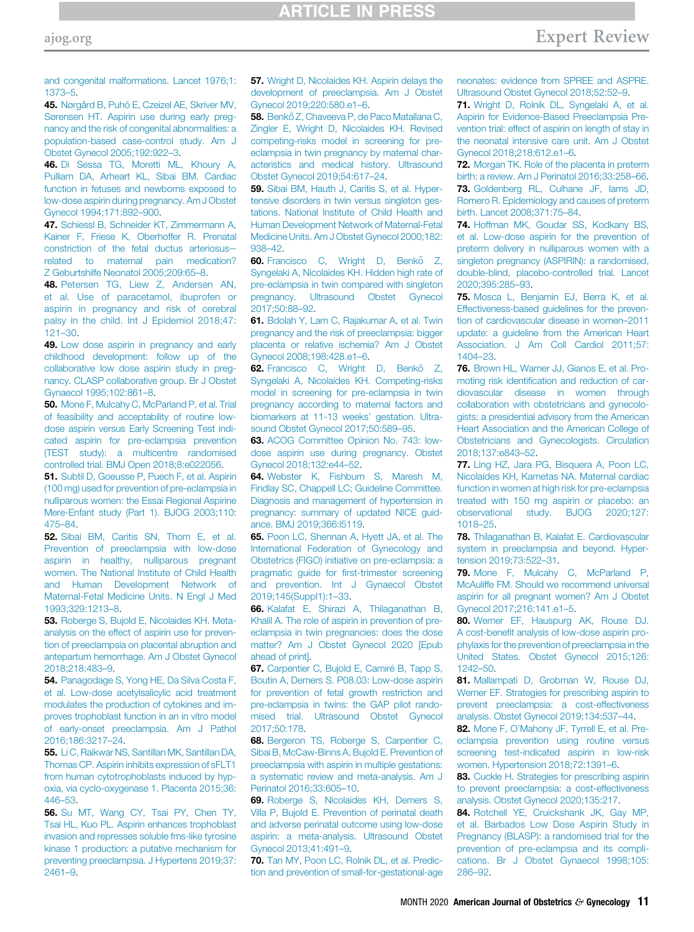[and congenital malformations. Lancet 1976;1:](http://refhub.elsevier.com/S0002-9378(20)30873-5/sref44) [1373](http://refhub.elsevier.com/S0002-9378(20)30873-5/sref44)–5.

<span id="page-10-0"></span>45. [Nørgård B, Puhó E, Czeizel AE, Skriver MV,](http://refhub.elsevier.com/S0002-9378(20)30873-5/sref45) [Sørensen HT. Aspirin use during early preg](http://refhub.elsevier.com/S0002-9378(20)30873-5/sref45)[nancy and the risk of congenital abnormalities: a](http://refhub.elsevier.com/S0002-9378(20)30873-5/sref45) [population-based case-control study. Am J](http://refhub.elsevier.com/S0002-9378(20)30873-5/sref45) [Obstet Gynecol 2005;192:922](http://refhub.elsevier.com/S0002-9378(20)30873-5/sref45)–3.

<span id="page-10-1"></span>46. [Di Sessa TG, Moretti ML, Khoury A,](http://refhub.elsevier.com/S0002-9378(20)30873-5/sref46) [Pulliam DA, Arheart KL, Sibai BM. Cardiac](http://refhub.elsevier.com/S0002-9378(20)30873-5/sref46) [function in fetuses and newborns exposed to](http://refhub.elsevier.com/S0002-9378(20)30873-5/sref46) [low-dose aspirin during pregnancy. Am J Obstet](http://refhub.elsevier.com/S0002-9378(20)30873-5/sref46) [Gynecol 1994;171:892](http://refhub.elsevier.com/S0002-9378(20)30873-5/sref46)–900.

<span id="page-10-2"></span>47. [Schiessl B, Schneider KT, Zimmermann A,](http://refhub.elsevier.com/S0002-9378(20)30873-5/sref47) [Kainer F, Friese K, Oberhoffer R. Prenatal](http://refhub.elsevier.com/S0002-9378(20)30873-5/sref47) [constriction of the fetal ductus arteriosus](http://refhub.elsevier.com/S0002-9378(20)30873-5/sref47)[related to maternal pain medication?](http://refhub.elsevier.com/S0002-9378(20)30873-5/sref47) [Z Geburtshilfe Neonatol 2005;209:65](http://refhub.elsevier.com/S0002-9378(20)30873-5/sref47)–8.

<span id="page-10-3"></span>48. [Petersen TG, Liew Z, Andersen AN,](http://refhub.elsevier.com/S0002-9378(20)30873-5/sref48) [et al. Use of paracetamol, ibuprofen or](http://refhub.elsevier.com/S0002-9378(20)30873-5/sref48) [aspirin in pregnancy and risk of cerebral](http://refhub.elsevier.com/S0002-9378(20)30873-5/sref48) [palsy in the child. Int J Epidemiol 2018;47:](http://refhub.elsevier.com/S0002-9378(20)30873-5/sref48) [121](http://refhub.elsevier.com/S0002-9378(20)30873-5/sref48)–30.

<span id="page-10-4"></span>49. [Low dose aspirin in pregnancy and early](http://refhub.elsevier.com/S0002-9378(20)30873-5/sref49) [childhood development: follow up of the](http://refhub.elsevier.com/S0002-9378(20)30873-5/sref49) [collaborative low dose aspirin study in preg](http://refhub.elsevier.com/S0002-9378(20)30873-5/sref49)[nancy. CLASP collaborative group. Br J Obstet](http://refhub.elsevier.com/S0002-9378(20)30873-5/sref49) [Gynaecol 1995;102:861](http://refhub.elsevier.com/S0002-9378(20)30873-5/sref49)–8.

<span id="page-10-5"></span>50. [Mone F, Mulcahy C, McParland P, et al. Trial](http://refhub.elsevier.com/S0002-9378(20)30873-5/sref50) [of feasibility and acceptability of routine low](http://refhub.elsevier.com/S0002-9378(20)30873-5/sref50)[dose aspirin versus Early Screening Test indi](http://refhub.elsevier.com/S0002-9378(20)30873-5/sref50)[cated aspirin for pre-eclampsia prevention](http://refhub.elsevier.com/S0002-9378(20)30873-5/sref50) [\(TEST study\): a multicentre randomised](http://refhub.elsevier.com/S0002-9378(20)30873-5/sref50) [controlled trial. BMJ Open 2018;8:e022056.](http://refhub.elsevier.com/S0002-9378(20)30873-5/sref50)

<span id="page-10-6"></span>51. [Subtil D, Goeusse P, Puech F, et al. Aspirin](http://refhub.elsevier.com/S0002-9378(20)30873-5/sref51) [\(100 mg\) used for prevention of pre-eclampsia in](http://refhub.elsevier.com/S0002-9378(20)30873-5/sref51) [nulliparous women: the Essai Regional Aspirine](http://refhub.elsevier.com/S0002-9378(20)30873-5/sref51) [Mere-Enfant study \(Part 1\). BJOG 2003;110:](http://refhub.elsevier.com/S0002-9378(20)30873-5/sref51) [475](http://refhub.elsevier.com/S0002-9378(20)30873-5/sref51)–84.

<span id="page-10-7"></span>52. [Sibai BM, Caritis SN, Thom E, et al.](http://refhub.elsevier.com/S0002-9378(20)30873-5/sref52) [Prevention of preeclampsia with low-dose](http://refhub.elsevier.com/S0002-9378(20)30873-5/sref52) [aspirin in healthy, nulliparous pregnant](http://refhub.elsevier.com/S0002-9378(20)30873-5/sref52) [women. The National Institute of Child Health](http://refhub.elsevier.com/S0002-9378(20)30873-5/sref52) [and Human Development Network of](http://refhub.elsevier.com/S0002-9378(20)30873-5/sref52) [Maternal-Fetal Medicine Units. N Engl J Med](http://refhub.elsevier.com/S0002-9378(20)30873-5/sref52) [1993;329:1213](http://refhub.elsevier.com/S0002-9378(20)30873-5/sref52)–8.

<span id="page-10-8"></span>53. [Roberge S, Bujold E, Nicolaides KH. Meta](http://refhub.elsevier.com/S0002-9378(20)30873-5/sref53)[analysis on the effect of aspirin use for preven](http://refhub.elsevier.com/S0002-9378(20)30873-5/sref53)[tion of preeclampsia on placental abruption and](http://refhub.elsevier.com/S0002-9378(20)30873-5/sref53) [antepartum hemorrhage. Am J Obstet Gynecol](http://refhub.elsevier.com/S0002-9378(20)30873-5/sref53) [2018;218:483](http://refhub.elsevier.com/S0002-9378(20)30873-5/sref53)–9.

<span id="page-10-9"></span>54. [Panagodage S, Yong HE, Da Silva Costa F,](http://refhub.elsevier.com/S0002-9378(20)30873-5/sref54) et al. Low-dose acetylsalicylic acid treatment modulates the production of cytokines and improves trophoblast function in an in vitro model of early-onset preeclampsia. Am J Pathol 2016;186:3217–24.

<span id="page-10-10"></span>**55.** [Li C, Raikwar NS, Santillan MK, Santillan DA,](http://refhub.elsevier.com/S0002-9378(20)30873-5/sref55) [Thomas CP. Aspirin inhibits expression of sFLT1](http://refhub.elsevier.com/S0002-9378(20)30873-5/sref55) [from human cytotrophoblasts induced by hyp](http://refhub.elsevier.com/S0002-9378(20)30873-5/sref55)[oxia, via cyclo-oxygenase 1. Placenta 2015;36:](http://refhub.elsevier.com/S0002-9378(20)30873-5/sref55) [446](http://refhub.elsevier.com/S0002-9378(20)30873-5/sref55)–53.

56. [Su MT, Wang CY, Tsai PY, Chen TY,](http://refhub.elsevier.com/S0002-9378(20)30873-5/sref56) [Tsai HL, Kuo PL. Aspirin enhances trophoblast](http://refhub.elsevier.com/S0002-9378(20)30873-5/sref56) [invasion and represses soluble fms-like tyrosine](http://refhub.elsevier.com/S0002-9378(20)30873-5/sref56) [kinase 1 production: a putative mechanism for](http://refhub.elsevier.com/S0002-9378(20)30873-5/sref56) [preventing preeclampsia. J Hypertens 2019;37:](http://refhub.elsevier.com/S0002-9378(20)30873-5/sref56) [2461](http://refhub.elsevier.com/S0002-9378(20)30873-5/sref56)–9.

<span id="page-10-11"></span>57. [Wright D, Nicolaides KH. Aspirin delays the](http://refhub.elsevier.com/S0002-9378(20)30873-5/sref57) [development of preeclampsia. Am J Obstet](http://refhub.elsevier.com/S0002-9378(20)30873-5/sref57) [Gynecol 2019;220:580.e1](http://refhub.elsevier.com/S0002-9378(20)30873-5/sref57)–6.

<span id="page-10-12"></span>58. Benkő Z, Chaveeva P, de Paco Matallana C, [Zingler E, Wright D, Nicolaides KH. Revised](http://refhub.elsevier.com/S0002-9378(20)30873-5/sref58) [competing-risks model in screening for pre](http://refhub.elsevier.com/S0002-9378(20)30873-5/sref58)[eclampsia in twin pregnancy by maternal char](http://refhub.elsevier.com/S0002-9378(20)30873-5/sref58)[acteristics and medical history. Ultrasound](http://refhub.elsevier.com/S0002-9378(20)30873-5/sref58) [Obstet Gynecol 2019;54:617](http://refhub.elsevier.com/S0002-9378(20)30873-5/sref58)–24.

59. [Sibai BM, Hauth J, Caritis S, et al. Hyper](http://refhub.elsevier.com/S0002-9378(20)30873-5/sref59)[tensive disorders in twin versus singleton ges](http://refhub.elsevier.com/S0002-9378(20)30873-5/sref59)[tations. National Institute of Child Health and](http://refhub.elsevier.com/S0002-9378(20)30873-5/sref59) [Human Development Network of Maternal-Fetal](http://refhub.elsevier.com/S0002-9378(20)30873-5/sref59) [Medicine Units. Am J Obstet Gynecol 2000;182:](http://refhub.elsevier.com/S0002-9378(20)30873-5/sref59) [938](http://refhub.elsevier.com/S0002-9378(20)30873-5/sref59)–42.

<span id="page-10-13"></span>60. [Francisco C, Wright D, Benk](http://refhub.elsevier.com/S0002-9378(20)30873-5/sref60)ő [Z,](http://refhub.elsevier.com/S0002-9378(20)30873-5/sref60) [Syngelaki A, Nicolaides KH. Hidden high rate of](http://refhub.elsevier.com/S0002-9378(20)30873-5/sref60) [pre-eclampsia in twin compared with singleton](http://refhub.elsevier.com/S0002-9378(20)30873-5/sref60) [pregnancy. Ultrasound Obstet Gynecol](http://refhub.elsevier.com/S0002-9378(20)30873-5/sref60) [2017;50:88](http://refhub.elsevier.com/S0002-9378(20)30873-5/sref60)–92.

<span id="page-10-14"></span>61. [Bdolah Y, Lam C, Rajakumar A, et al. Twin](http://refhub.elsevier.com/S0002-9378(20)30873-5/sref61) [pregnancy and the risk of preeclampsia: bigger](http://refhub.elsevier.com/S0002-9378(20)30873-5/sref61) [placenta or relative ischemia? Am J Obstet](http://refhub.elsevier.com/S0002-9378(20)30873-5/sref61) [Gynecol 2008;198:428.e1](http://refhub.elsevier.com/S0002-9378(20)30873-5/sref61)–6.

<span id="page-10-15"></span>62. [Francisco C, Wright D, Benk](http://refhub.elsevier.com/S0002-9378(20)30873-5/sref62)ő [Z,](http://refhub.elsevier.com/S0002-9378(20)30873-5/sref62) [Syngelaki A, Nicolaides KH. Competing-risks](http://refhub.elsevier.com/S0002-9378(20)30873-5/sref62) [model in screening for pre-eclampsia in twin](http://refhub.elsevier.com/S0002-9378(20)30873-5/sref62) [pregnancy according to maternal factors and](http://refhub.elsevier.com/S0002-9378(20)30873-5/sref62) [biomarkers at 11-13 weeks](http://refhub.elsevier.com/S0002-9378(20)30873-5/sref62)' gestation. Ultra[sound Obstet Gynecol 2017;50:589](http://refhub.elsevier.com/S0002-9378(20)30873-5/sref62)–95.

<span id="page-10-16"></span>63. [ACOG Committee Opinion No. 743: low](http://refhub.elsevier.com/S0002-9378(20)30873-5/sref63)[dose aspirin use during pregnancy. Obstet](http://refhub.elsevier.com/S0002-9378(20)30873-5/sref63) [Gynecol 2018;132:e44](http://refhub.elsevier.com/S0002-9378(20)30873-5/sref63)–52.

64. [Webster K, Fishburn S, Maresh M,](http://refhub.elsevier.com/S0002-9378(20)30873-5/sref64) [Findlay SC, Chappell LC; Guideline Committee.](http://refhub.elsevier.com/S0002-9378(20)30873-5/sref64) [Diagnosis and management of hypertension in](http://refhub.elsevier.com/S0002-9378(20)30873-5/sref64) [pregnancy: summary of updated NICE guid](http://refhub.elsevier.com/S0002-9378(20)30873-5/sref64)[ance. BMJ 2019;366:l5119.](http://refhub.elsevier.com/S0002-9378(20)30873-5/sref64)

65. [Poon LC, Shennan A, Hyett JA, et al. The](http://refhub.elsevier.com/S0002-9378(20)30873-5/sref65) [International Federation of Gynecology and](http://refhub.elsevier.com/S0002-9378(20)30873-5/sref65) [Obstetrics \(FIGO\) initiative on pre-eclampsia: a](http://refhub.elsevier.com/S0002-9378(20)30873-5/sref65) pragmatic guide for fi[rst-trimester screening](http://refhub.elsevier.com/S0002-9378(20)30873-5/sref65) [and prevention. Int J Gynaecol Obstet](http://refhub.elsevier.com/S0002-9378(20)30873-5/sref65) [2019;145\(Suppl1\):1](http://refhub.elsevier.com/S0002-9378(20)30873-5/sref65)–33.

<span id="page-10-17"></span>66. [Kalafat E, Shirazi A, Thilaganathan B,](http://refhub.elsevier.com/S0002-9378(20)30873-5/sref66) [Khalil A. The role of aspirin in prevention of pre](http://refhub.elsevier.com/S0002-9378(20)30873-5/sref66)[eclampsia in twin pregnancies: does the dose](http://refhub.elsevier.com/S0002-9378(20)30873-5/sref66) [matter? Am J Obstet Gynecol 2020 \[Epub](http://refhub.elsevier.com/S0002-9378(20)30873-5/sref66) [ahead of print\].](http://refhub.elsevier.com/S0002-9378(20)30873-5/sref66)

<span id="page-10-18"></span>67. [Carpentier C, Bujold E, Camiré B, Tapp S,](http://refhub.elsevier.com/S0002-9378(20)30873-5/sref67) [Boutin A, Demers S. P08.03: Low-dose aspirin](http://refhub.elsevier.com/S0002-9378(20)30873-5/sref67) [for prevention of fetal growth restriction and](http://refhub.elsevier.com/S0002-9378(20)30873-5/sref67) [pre-eclampsia in twins: the GAP pilot rando](http://refhub.elsevier.com/S0002-9378(20)30873-5/sref67)[mised trial. Ultrasound Obstet Gynecol](http://refhub.elsevier.com/S0002-9378(20)30873-5/sref67) [2017;50:178.](http://refhub.elsevier.com/S0002-9378(20)30873-5/sref67)

<span id="page-10-19"></span>68. [Bergeron TS, Roberge S, Carpentier C,](http://refhub.elsevier.com/S0002-9378(20)30873-5/sref68) [Sibai B, McCaw-Binns A, Bujold E. Prevention of](http://refhub.elsevier.com/S0002-9378(20)30873-5/sref68) [preeclampsia with aspirin in multiple gestations:](http://refhub.elsevier.com/S0002-9378(20)30873-5/sref68) [a systematic review and meta-analysis. Am J](http://refhub.elsevier.com/S0002-9378(20)30873-5/sref68) [Perinatol 2016;33:605](http://refhub.elsevier.com/S0002-9378(20)30873-5/sref68)–10.

<span id="page-10-20"></span>69. [Roberge S, Nicolaides KH, Demers S,](http://refhub.elsevier.com/S0002-9378(20)30873-5/sref69) [Villa P, Bujold E. Prevention of perinatal death](http://refhub.elsevier.com/S0002-9378(20)30873-5/sref69) [and adverse perinatal outcome using low-dose](http://refhub.elsevier.com/S0002-9378(20)30873-5/sref69) [aspirin: a meta-analysis. Ultrasound Obstet](http://refhub.elsevier.com/S0002-9378(20)30873-5/sref69) [Gynecol 2013;41:491](http://refhub.elsevier.com/S0002-9378(20)30873-5/sref69)–9.

<span id="page-10-21"></span>70. [Tan MY, Poon LC, Rolnik DL, et al. Predic](http://refhub.elsevier.com/S0002-9378(20)30873-5/sref70)[tion and prevention of small-for-gestational-age](http://refhub.elsevier.com/S0002-9378(20)30873-5/sref70) [neonates: evidence from SPREE and ASPRE.](http://refhub.elsevier.com/S0002-9378(20)30873-5/sref70) [Ultrasound Obstet Gynecol 2018;52:52](http://refhub.elsevier.com/S0002-9378(20)30873-5/sref70)–9.

<span id="page-10-22"></span>71. [Wright D, Rolnik DL, Syngelaki A, et al.](http://refhub.elsevier.com/S0002-9378(20)30873-5/sref71) [Aspirin for Evidence-Based Preeclampsia Pre](http://refhub.elsevier.com/S0002-9378(20)30873-5/sref71)[vention trial: effect of aspirin on length of stay in](http://refhub.elsevier.com/S0002-9378(20)30873-5/sref71) [the neonatal intensive care unit. Am J Obstet](http://refhub.elsevier.com/S0002-9378(20)30873-5/sref71) [Gynecol 2018;218:612.e1](http://refhub.elsevier.com/S0002-9378(20)30873-5/sref71)–6.

<span id="page-10-23"></span>72. [Morgan TK. Role of the placenta in preterm](http://refhub.elsevier.com/S0002-9378(20)30873-5/sref72) [birth: a review. Am J Perinatol 2016;33:258](http://refhub.elsevier.com/S0002-9378(20)30873-5/sref72)–66. 73. [Goldenberg RL, Culhane JF, Iams JD,](http://refhub.elsevier.com/S0002-9378(20)30873-5/sref73)

<span id="page-10-24"></span>[Romero R. Epidemiology and causes of preterm](http://refhub.elsevier.com/S0002-9378(20)30873-5/sref73) [birth. Lancet 2008;371:75](http://refhub.elsevier.com/S0002-9378(20)30873-5/sref73)–84.

<span id="page-10-25"></span>74. [Hoffman MK, Goudar SS, Kodkany BS,](http://refhub.elsevier.com/S0002-9378(20)30873-5/sref74) [et al. Low-dose aspirin for the prevention of](http://refhub.elsevier.com/S0002-9378(20)30873-5/sref74) [preterm delivery in nulliparous women with a](http://refhub.elsevier.com/S0002-9378(20)30873-5/sref74) [singleton pregnancy \(ASPIRIN\): a randomised,](http://refhub.elsevier.com/S0002-9378(20)30873-5/sref74) [double-blind, placebo-controlled trial. Lancet](http://refhub.elsevier.com/S0002-9378(20)30873-5/sref74) [2020;395:285](http://refhub.elsevier.com/S0002-9378(20)30873-5/sref74)–93.

<span id="page-10-26"></span>75. [Mosca L, Benjamin EJ, Berra K, et al.](http://refhub.elsevier.com/S0002-9378(20)30873-5/sref75) [Effectiveness-based guidelines for the preven](http://refhub.elsevier.com/S0002-9378(20)30873-5/sref75)[tion of cardiovascular disease in women](http://refhub.elsevier.com/S0002-9378(20)30873-5/sref75)–2011 [update: a guideline from the American Heart](http://refhub.elsevier.com/S0002-9378(20)30873-5/sref75) [Association. J Am Coll Cardiol 2011;57:](http://refhub.elsevier.com/S0002-9378(20)30873-5/sref75) [1404](http://refhub.elsevier.com/S0002-9378(20)30873-5/sref75)–23.

<span id="page-10-27"></span>76. [Brown HL, Warner JJ, Gianos E, et al. Pro](http://refhub.elsevier.com/S0002-9378(20)30873-5/sref76)moting risk identifi[cation and reduction of car](http://refhub.elsevier.com/S0002-9378(20)30873-5/sref76)[diovascular disease in women through](http://refhub.elsevier.com/S0002-9378(20)30873-5/sref76) [collaboration with obstetricians and gynecolo](http://refhub.elsevier.com/S0002-9378(20)30873-5/sref76)[gists: a presidential advisory from the American](http://refhub.elsevier.com/S0002-9378(20)30873-5/sref76) [Heart Association and the American College of](http://refhub.elsevier.com/S0002-9378(20)30873-5/sref76) [Obstetricians and Gynecologists. Circulation](http://refhub.elsevier.com/S0002-9378(20)30873-5/sref76) [2018;137:e843](http://refhub.elsevier.com/S0002-9378(20)30873-5/sref76)–52.

<span id="page-10-28"></span>77. [Ling HZ, Jara PG, Bisquera A, Poon LC,](http://refhub.elsevier.com/S0002-9378(20)30873-5/sref77) [Nicolaides KH, Kametas NA. Maternal cardiac](http://refhub.elsevier.com/S0002-9378(20)30873-5/sref77) [function in women at high risk for pre-eclampsia](http://refhub.elsevier.com/S0002-9378(20)30873-5/sref77) [treated with 150 mg aspirin or placebo: an](http://refhub.elsevier.com/S0002-9378(20)30873-5/sref77) [observational study. BJOG 2020;127:](http://refhub.elsevier.com/S0002-9378(20)30873-5/sref77) [1018](http://refhub.elsevier.com/S0002-9378(20)30873-5/sref77)–25.

<span id="page-10-29"></span>78. [Thilaganathan B, Kalafat E. Cardiovascular](http://refhub.elsevier.com/S0002-9378(20)30873-5/sref78) [system in preeclampsia and beyond. Hyper](http://refhub.elsevier.com/S0002-9378(20)30873-5/sref78)[tension 2019;73:522](http://refhub.elsevier.com/S0002-9378(20)30873-5/sref78)–31.

<span id="page-10-30"></span>79. [Mone F, Mulcahy C, McParland P,](http://refhub.elsevier.com/S0002-9378(20)30873-5/sref79) [McAuliffe FM. Should we recommend universal](http://refhub.elsevier.com/S0002-9378(20)30873-5/sref79) [aspirin for all pregnant women? Am J Obstet](http://refhub.elsevier.com/S0002-9378(20)30873-5/sref79) [Gynecol 2017;216:141.e1](http://refhub.elsevier.com/S0002-9378(20)30873-5/sref79)–5.

<span id="page-10-33"></span>80. [Werner EF, Hauspurg AK, Rouse DJ.](http://refhub.elsevier.com/S0002-9378(20)30873-5/sref80) A cost-benefi[t analysis of low-dose aspirin pro](http://refhub.elsevier.com/S0002-9378(20)30873-5/sref80)[phylaxis for the prevention of preeclampsia in the](http://refhub.elsevier.com/S0002-9378(20)30873-5/sref80) [United States. Obstet Gynecol 2015;126:](http://refhub.elsevier.com/S0002-9378(20)30873-5/sref80) [1242](http://refhub.elsevier.com/S0002-9378(20)30873-5/sref80)–50.

<span id="page-10-34"></span>81. [Mallampati D, Grobman W, Rouse DJ,](http://refhub.elsevier.com/S0002-9378(20)30873-5/sref81) [Werner EF. Strategies for prescribing aspirin to](http://refhub.elsevier.com/S0002-9378(20)30873-5/sref81) [prevent preeclampsia: a cost-effectiveness](http://refhub.elsevier.com/S0002-9378(20)30873-5/sref81) [analysis. Obstet Gynecol 2019;134:537](http://refhub.elsevier.com/S0002-9378(20)30873-5/sref81)–44.

<span id="page-10-35"></span>82. Mone F, O'[Mahony JF, Tyrrell E, et al. Pre](http://refhub.elsevier.com/S0002-9378(20)30873-5/sref82)[eclampsia prevention using routine versus](http://refhub.elsevier.com/S0002-9378(20)30873-5/sref82) [screening test-indicated aspirin in low-risk](http://refhub.elsevier.com/S0002-9378(20)30873-5/sref82) [women. Hypertension 2018;72:1391](http://refhub.elsevier.com/S0002-9378(20)30873-5/sref82)–6.

<span id="page-10-31"></span>83. [Cuckle H. Strategies for prescribing aspirin](http://refhub.elsevier.com/S0002-9378(20)30873-5/sref83) [to prevent preeclampsia: a cost-effectiveness](http://refhub.elsevier.com/S0002-9378(20)30873-5/sref83) [analysis. Obstet Gynecol 2020;135:217](http://refhub.elsevier.com/S0002-9378(20)30873-5/sref83).

<span id="page-10-32"></span>84. [Rotchell YE, Cruickshank JK, Gay MP,](http://refhub.elsevier.com/S0002-9378(20)30873-5/sref84) [et al. Barbados Low Dose Aspirin Study in](http://refhub.elsevier.com/S0002-9378(20)30873-5/sref84) [Pregnancy \(BLASP\): a randomised trial for the](http://refhub.elsevier.com/S0002-9378(20)30873-5/sref84) [prevention of pre-eclampsia and its compli](http://refhub.elsevier.com/S0002-9378(20)30873-5/sref84)[cations. Br J Obstet Gynaecol 1998;105:](http://refhub.elsevier.com/S0002-9378(20)30873-5/sref84) [286](http://refhub.elsevier.com/S0002-9378(20)30873-5/sref84)–92.